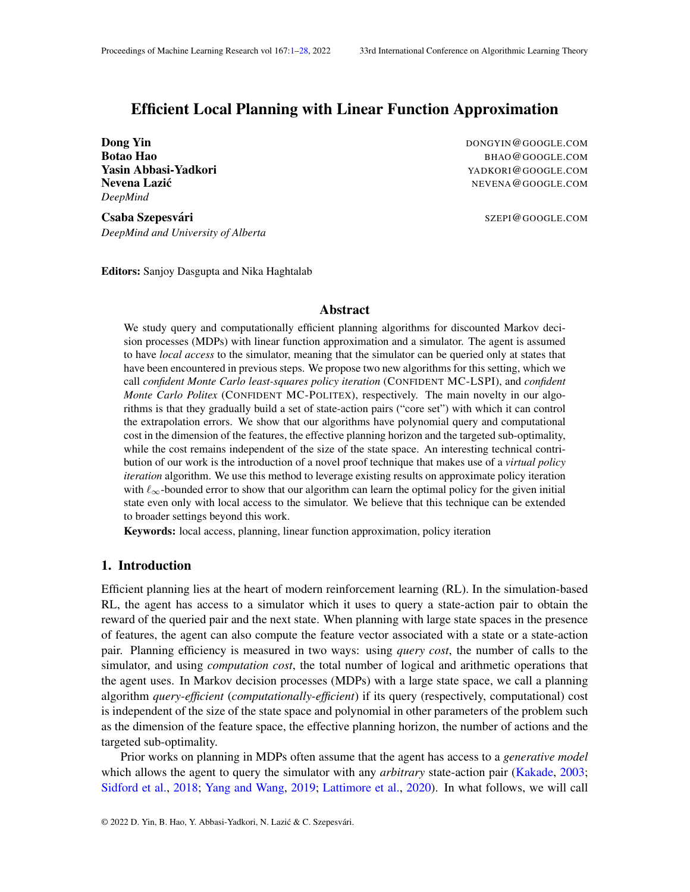# <span id="page-0-0"></span>Efficient Local Planning with Linear Function Approximation

*DeepMind*

**Dong Yin** DONGYIN@GOOGLE.COM Botao Hao BHAO@GOOGLE.COM **Yasin Abbasi-Yadkori** YADKORI@GOOGLE.COM Nevena Lazić **Newsign Contracts** and the extending of the extending of the extending  $N$ EVENA@GOOGLE.COM

Csaba Szepesvári **Szepesvári szepesvári szepesvári szepes** szepesvári szepesvári szepesvári szepesvári szepesvár

*DeepMind and University of Alberta*

Editors: Sanjoy Dasgupta and Nika Haghtalab

## Abstract

We study query and computationally efficient planning algorithms for discounted Markov decision processes (MDPs) with linear function approximation and a simulator. The agent is assumed to have *local access* to the simulator, meaning that the simulator can be queried only at states that have been encountered in previous steps. We propose two new algorithms for this setting, which we call *confident Monte Carlo least-squares policy iteration* (CONFIDENT MC-LSPI), and *confident Monte Carlo Politex* (CONFIDENT MC-POLITEX), respectively. The main novelty in our algorithms is that they gradually build a set of state-action pairs ("core set") with which it can control the extrapolation errors. We show that our algorithms have polynomial query and computational cost in the dimension of the features, the effective planning horizon and the targeted sub-optimality, while the cost remains independent of the size of the state space. An interesting technical contribution of our work is the introduction of a novel proof technique that makes use of a *virtual policy iteration* algorithm. We use this method to leverage existing results on approximate policy iteration with  $\ell_{\infty}$ -bounded error to show that our algorithm can learn the optimal policy for the given initial state even only with local access to the simulator. We believe that this technique can be extended to broader settings beyond this work.

Keywords: local access, planning, linear function approximation, policy iteration

# 1. Introduction

Efficient planning lies at the heart of modern reinforcement learning (RL). In the simulation-based RL, the agent has access to a simulator which it uses to query a state-action pair to obtain the reward of the queried pair and the next state. When planning with large state spaces in the presence of features, the agent can also compute the feature vector associated with a state or a state-action pair. Planning efficiency is measured in two ways: using *query cost*, the number of calls to the simulator, and using *computation cost*, the total number of logical and arithmetic operations that the agent uses. In Markov decision processes (MDPs) with a large state space, we call a planning algorithm *query-efficient* (*computationally-efficient*) if its query (respectively, computational) cost is independent of the size of the state space and polynomial in other parameters of the problem such as the dimension of the feature space, the effective planning horizon, the number of actions and the targeted sub-optimality.

Prior works on planning in MDPs often assume that the agent has access to a *generative model* which allows the agent to query the simulator with any *arbitrary* state-action pair [\(Kakade,](#page-13-0) [2003;](#page-13-0) [Sidford et al.,](#page-14-0) [2018;](#page-14-0) [Yang and Wang,](#page-15-0) [2019;](#page-15-0) [Lattimore et al.,](#page-13-1) [2020\)](#page-13-1). In what follows, we will call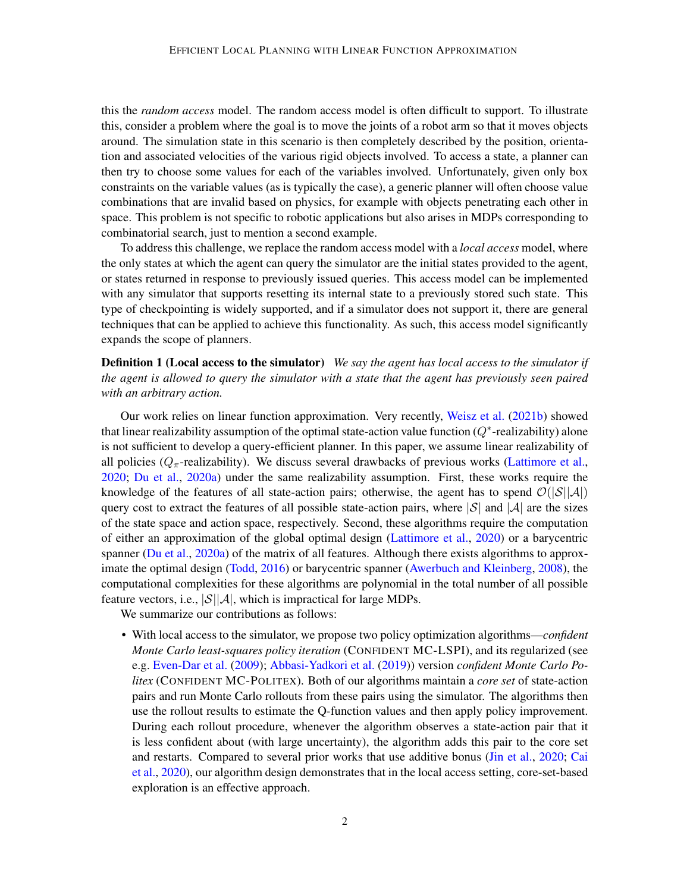this the *random access* model. The random access model is often difficult to support. To illustrate this, consider a problem where the goal is to move the joints of a robot arm so that it moves objects around. The simulation state in this scenario is then completely described by the position, orientation and associated velocities of the various rigid objects involved. To access a state, a planner can then try to choose some values for each of the variables involved. Unfortunately, given only box constraints on the variable values (as is typically the case), a generic planner will often choose value combinations that are invalid based on physics, for example with objects penetrating each other in space. This problem is not specific to robotic applications but also arises in MDPs corresponding to combinatorial search, just to mention a second example.

To address this challenge, we replace the random access model with a *local access* model, where the only states at which the agent can query the simulator are the initial states provided to the agent, or states returned in response to previously issued queries. This access model can be implemented with any simulator that supports resetting its internal state to a previously stored such state. This type of checkpointing is widely supported, and if a simulator does not support it, there are general techniques that can be applied to achieve this functionality. As such, this access model significantly expands the scope of planners.

<span id="page-1-0"></span>Definition 1 (Local access to the simulator) *We say the agent has local access to the simulator if the agent is allowed to query the simulator with a state that the agent has previously seen paired with an arbitrary action.*

Our work relies on linear function approximation. Very recently, [Weisz et al.](#page-15-1) [\(2021b\)](#page-15-1) showed that linear realizability assumption of the optimal state-action value function  $(Q^*$ -realizability) alone is not sufficient to develop a query-efficient planner. In this paper, we assume linear realizability of all policies ( $Q_{\pi}$ -realizability). We discuss several drawbacks of previous works [\(Lattimore et al.,](#page-13-1) [2020;](#page-13-1) [Du et al.,](#page-12-0) [2020a\)](#page-12-0) under the same realizability assumption. First, these works require the knowledge of the features of all state-action pairs; otherwise, the agent has to spend  $\mathcal{O}(|\mathcal{S}||\mathcal{A}|)$ query cost to extract the features of all possible state-action pairs, where  $|\mathcal{S}|$  and  $|\mathcal{A}|$  are the sizes of the state space and action space, respectively. Second, these algorithms require the computation of either an approximation of the global optimal design [\(Lattimore et al.,](#page-13-1) [2020\)](#page-13-1) or a barycentric spanner [\(Du et al.,](#page-12-0) [2020a\)](#page-12-0) of the matrix of all features. Although there exists algorithms to approximate the optimal design [\(Todd,](#page-14-1) [2016\)](#page-14-1) or barycentric spanner [\(Awerbuch and Kleinberg,](#page-12-1) [2008\)](#page-12-1), the computational complexities for these algorithms are polynomial in the total number of all possible feature vectors, i.e.,  $|\mathcal{S}||\mathcal{A}|$ , which is impractical for large MDPs.

We summarize our contributions as follows:

• With local access to the simulator, we propose two policy optimization algorithms—*confident Monte Carlo least-squares policy iteration* (CONFIDENT MC-LSPI), and its regularized (see e.g. [Even-Dar et al.](#page-13-2) [\(2009\)](#page-13-2); [Abbasi-Yadkori et al.](#page-12-2) [\(2019\)](#page-12-2)) version *confident Monte Carlo Politex* (CONFIDENT MC-POLITEX). Both of our algorithms maintain a *core set* of state-action pairs and run Monte Carlo rollouts from these pairs using the simulator. The algorithms then use the rollout results to estimate the Q-function values and then apply policy improvement. During each rollout procedure, whenever the algorithm observes a state-action pair that it is less confident about (with large uncertainty), the algorithm adds this pair to the core set and restarts. Compared to several prior works that use additive bonus [\(Jin et al.,](#page-13-3) [2020;](#page-13-3) [Cai](#page-12-3) [et al.,](#page-12-3) [2020\)](#page-12-3), our algorithm design demonstrates that in the local access setting, core-set-based exploration is an effective approach.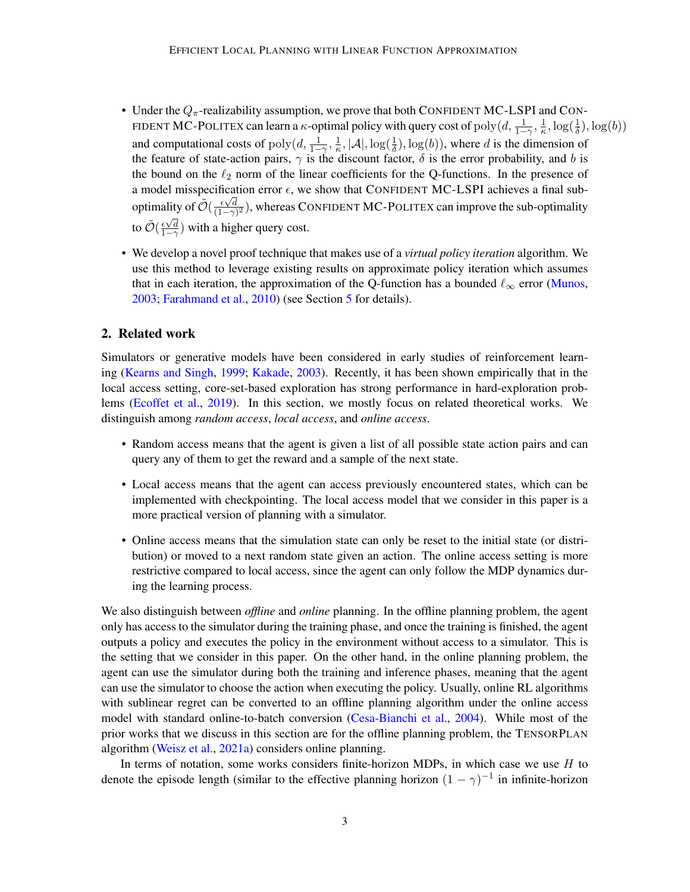- Under the  $Q_{\pi}$ -realizability assumption, we prove that both CONFIDENT MC-LSPI and CON-FIDENT MC-POLITEX can learn a  $\kappa$ -optimal policy with query cost of  $\text{poly}(d, \frac{1}{1-\gamma}, \frac{1}{\kappa})$  $\frac{1}{\kappa}, \log(\frac{1}{\delta}), \log(b))$ and computational costs of  $\text{poly}(d, \frac{1}{1-\gamma}, \frac{1}{\kappa})$  $\frac{1}{\kappa}$ ,  $|\mathcal{A}|$ ,  $\log(\frac{1}{\delta})$ ,  $\log(b)$ ), where d is the dimension of the feature of state-action pairs,  $\gamma$  is the discount factor,  $\delta$  is the error probability, and b is the bound on the  $\ell_2$  norm of the linear coefficients for the Q-functions. In the presence of a model misspecification error  $\epsilon$ , we show that CONFIDENT MC-LSPI achieves a final suboptimality of  $\tilde{\mathcal{O}}(\frac{\epsilon \sqrt{d}}{(1-\alpha)})$ lity of  $\mathcal{O}(\frac{\epsilon \sqrt{d}}{(1-\gamma)^2})$ , whereas CONFIDENT MC-POLITEX can improve the sub-optimality to  $\tilde{\mathcal{O}}(\frac{\epsilon \sqrt{d}}{1-\gamma})$  with a higher query cost.
- We develop a novel proof technique that makes use of a *virtual policy iteration* algorithm. We use this method to leverage existing results on approximate policy iteration which assumes that in each iteration, the approximation of the Q-function has a bounded  $\ell_{\infty}$  error [\(Munos,](#page-14-2) [2003;](#page-14-2) [Farahmand et al.,](#page-13-4) [2010\)](#page-13-4) (see Section [5](#page-9-0) for details).

# 2. Related work

Simulators or generative models have been considered in early studies of reinforcement learning [\(Kearns and Singh,](#page-13-5) [1999;](#page-13-5) [Kakade,](#page-13-0) [2003\)](#page-13-0). Recently, it has been shown empirically that in the local access setting, core-set-based exploration has strong performance in hard-exploration problems [\(Ecoffet et al.,](#page-13-6) [2019\)](#page-13-6). In this section, we mostly focus on related theoretical works. We distinguish among *random access*, *local access*, and *online access*.

- Random access means that the agent is given a list of all possible state action pairs and can query any of them to get the reward and a sample of the next state.
- Local access means that the agent can access previously encountered states, which can be implemented with checkpointing. The local access model that we consider in this paper is a more practical version of planning with a simulator.
- Online access means that the simulation state can only be reset to the initial state (or distribution) or moved to a next random state given an action. The online access setting is more restrictive compared to local access, since the agent can only follow the MDP dynamics during the learning process.

We also distinguish between *offline* and *online* planning. In the offline planning problem, the agent only has access to the simulator during the training phase, and once the training is finished, the agent outputs a policy and executes the policy in the environment without access to a simulator. This is the setting that we consider in this paper. On the other hand, in the online planning problem, the agent can use the simulator during both the training and inference phases, meaning that the agent can use the simulator to choose the action when executing the policy. Usually, online RL algorithms with sublinear regret can be converted to an offline planning algorithm under the online access model with standard online-to-batch conversion [\(Cesa-Bianchi et al.,](#page-12-4) [2004\)](#page-12-4). While most of the prior works that we discuss in this section are for the offline planning problem, the TENSORPLAN algorithm [\(Weisz et al.,](#page-14-3) [2021a\)](#page-14-3) considers online planning.

In terms of notation, some works considers finite-horizon MDPs, in which case we use  $H$  to denote the episode length (similar to the effective planning horizon  $(1 - \gamma)^{-1}$  in infinite-horizon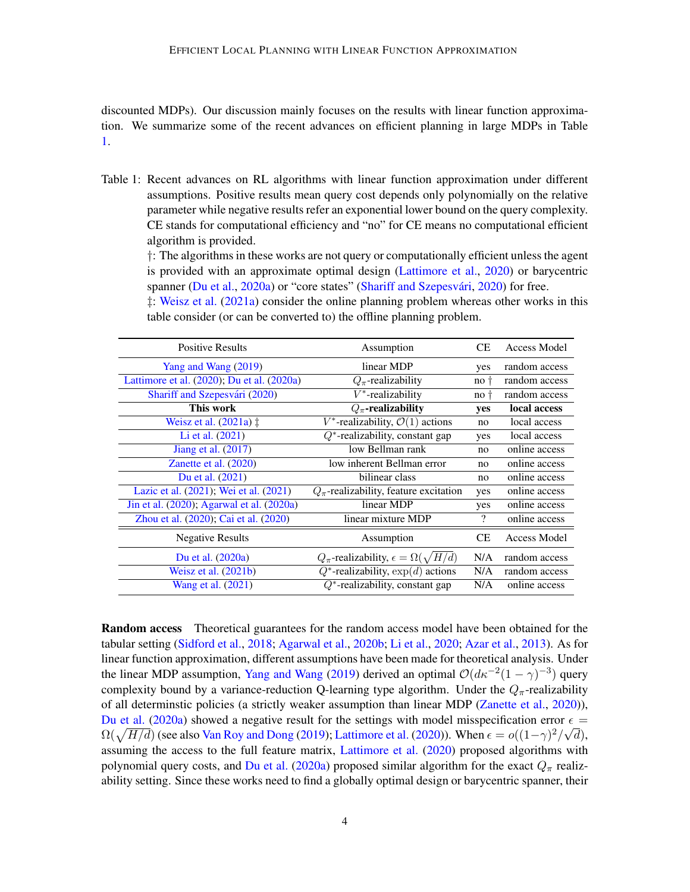discounted MDPs). Our discussion mainly focuses on the results with linear function approximation. We summarize some of the recent advances on efficient planning in large MDPs in Table [1.](#page-3-0)

<span id="page-3-0"></span>Table 1: Recent advances on RL algorithms with linear function approximation under different assumptions. Positive results mean query cost depends only polynomially on the relative parameter while negative results refer an exponential lower bound on the query complexity. CE stands for computational efficiency and "no" for CE means no computational efficient algorithm is provided.

†: The algorithms in these works are not query or computationally efficient unless the agent is provided with an approximate optimal design [\(Lattimore et al.,](#page-13-1) [2020\)](#page-13-1) or barycentric spanner [\(Du et al.,](#page-12-0) [2020a\)](#page-12-0) or "core states" (Shariff and Szepesvári, [2020\)](#page-14-4) for free. ‡: [Weisz et al.](#page-14-3) [\(2021a\)](#page-14-3) consider the online planning problem whereas other works in this table consider (or can be converted to) the offline planning problem.

| <b>Positive Results</b>                    | Assumption                                                | СE                       | Access Model        |
|--------------------------------------------|-----------------------------------------------------------|--------------------------|---------------------|
| Yang and Wang (2019)                       | linear MDP                                                | yes                      | random access       |
| Lattimore et al. (2020); Du et al. (2020a) | $Q_{\pi}$ -realizability                                  | no t                     | random access       |
| Shariff and Szepesvári (2020)              | $V^*$ -realizability                                      | no <sub>†</sub>          | random access       |
| This work                                  | $Q_{\pi}$ -realizability                                  | yes                      | local access        |
| Weisz et al. $(2021a)$ $\ddagger$          | $V^*$ -realizability, $\mathcal{O}(1)$ actions            | no                       | local access        |
| Li et al. (2021)                           | $Q^*$ -realizability, constant gap                        | yes                      | local access        |
| Jiang et al. $(2017)$                      | low Bellman rank                                          | no                       | online access       |
| Zanette et al. $(2020)$                    | low inherent Bellman error                                | no                       | online access       |
| Du et al. (2021)                           | bilinear class                                            | no                       | online access       |
| Lazic et al. (2021); Wei et al. (2021)     | $Q_{\pi}$ -realizability, feature excitation              | yes                      | online access       |
| Jin et al. (2020); Agarwal et al. (2020a)  | linear MDP                                                | yes                      | online access       |
| Zhou et al. (2020); Cai et al. (2020)      | linear mixture MDP                                        | $\overline{\mathcal{C}}$ | online access       |
| <b>Negative Results</b>                    | Assumption                                                | CE                       | <b>Access Model</b> |
| Du et al. (2020a)                          | $Q_{\pi}$ -realizability, $\epsilon = \Omega(\sqrt{H/d})$ |                          | random access       |
| Weisz et al. $(2021b)$                     | $Q^*$ -realizability, $\exp(d)$ actions                   | N/A                      | random access       |
| Wang et al. (2021)                         | $Q^*$ -realizability, constant gap                        |                          | online access       |

Random access Theoretical guarantees for the random access model have been obtained for the tabular setting [\(Sidford et al.,](#page-14-0) [2018;](#page-14-0) [Agarwal et al.,](#page-12-6) [2020b;](#page-12-6) [Li et al.,](#page-14-8) [2020;](#page-14-8) [Azar et al.,](#page-12-7) [2013\)](#page-12-7). As for linear function approximation, different assumptions have been made for theoretical analysis. Under the linear MDP assumption, [Yang and Wang](#page-15-0) [\(2019\)](#page-15-0) derived an optimal  $\mathcal{O}(d\kappa^{-2}(1-\gamma)^{-3})$  query complexity bound by a variance-reduction Q-learning type algorithm. Under the  $Q_{\pi}$ -realizability of all determinstic policies (a strictly weaker assumption than linear MDP [\(Zanette et al.,](#page-15-2) [2020\)](#page-15-2)), [Du et al.](#page-12-0) [\(2020a\)](#page-12-0) showed a negative result for the settings with model misspecification error  $\epsilon =$  $\Omega(\sqrt{H/d})$  (see also [Van Roy and Dong](#page-14-9) [\(2019\)](#page-14-9); [Lattimore et al.](#page-13-1) [\(2020\)](#page-13-1)). When  $\epsilon = o((1-\gamma)^2/\sqrt{d})$ , assuming the access to the full feature matrix, [Lattimore et al.](#page-13-1) [\(2020\)](#page-13-1) proposed algorithms with polynomial query costs, and [Du et al.](#page-12-0) [\(2020a\)](#page-12-0) proposed similar algorithm for the exact  $Q_{\pi}$  realizability setting. Since these works need to find a globally optimal design or barycentric spanner, their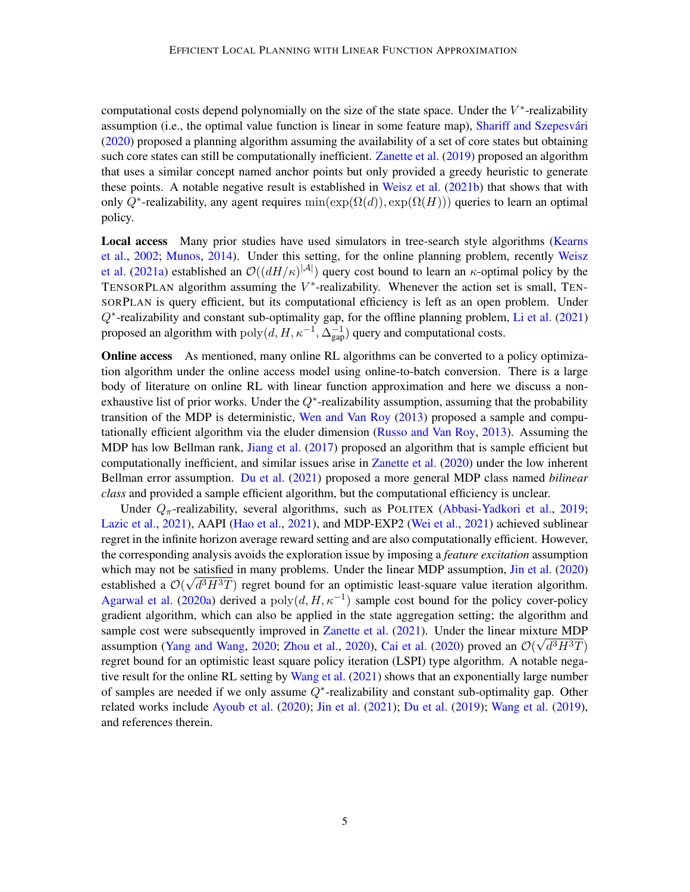computational costs depend polynomially on the size of the state space. Under the  $V^*$ -realizability assumption (i.e., the optimal value function is linear in some feature map), Shariff and Szepesvári [\(2020\)](#page-14-4) proposed a planning algorithm assuming the availability of a set of core states but obtaining such core states can still be computationally inefficient. [Zanette et al.](#page-15-4) [\(2019\)](#page-15-4) proposed an algorithm that uses a similar concept named anchor points but only provided a greedy heuristic to generate these points. A notable negative result is established in [Weisz et al.](#page-15-1) [\(2021b\)](#page-15-1) that shows that with only Q<sup>\*</sup>-realizability, any agent requires  $min(exp(\Omega(d)), exp(\Omega(H)))$  queries to learn an optimal policy.

Local access Many prior studies have used simulators in tree-search style algorithms [\(Kearns](#page-13-10) [et al.,](#page-13-10) [2002;](#page-13-10) [Munos,](#page-14-10) [2014\)](#page-14-10). Under this setting, for the online planning problem, recently [Weisz](#page-14-3) [et al.](#page-14-3) [\(2021a\)](#page-14-3) established an  $\mathcal{O}((dH/\kappa)^{|\mathcal{A}|})$  query cost bound to learn an  $\kappa$ -optimal policy by the TENSORPLAN algorithm assuming the  $V^*$ -realizability. Whenever the action set is small, TEN-SORPLAN is query efficient, but its computational efficiency is left as an open problem. Under Q<sup>\*</sup>-realizability and constant sub-optimality gap, for the offline planning problem, [Li et al.](#page-14-5) [\(2021\)](#page-14-5) proposed an algorithm with  $poly(d, H, \kappa^{-1}, \Delta_{\text{gap}}^{-1})$  query and computational costs.

**Online access** As mentioned, many online RL algorithms can be converted to a policy optimization algorithm under the online access model using online-to-batch conversion. There is a large body of literature on online RL with linear function approximation and here we discuss a nonexhaustive list of prior works. Under the  $Q^*$ -realizability assumption, assuming that the probability transition of the MDP is deterministic, [Wen and Van Roy](#page-15-5) [\(2013\)](#page-15-5) proposed a sample and computationally efficient algorithm via the eluder dimension [\(Russo and Van Roy,](#page-14-11) [2013\)](#page-14-11). Assuming the MDP has low Bellman rank, [Jiang et al.](#page-13-7) [\(2017\)](#page-13-7) proposed an algorithm that is sample efficient but computationally inefficient, and similar issues arise in [Zanette et al.](#page-15-2) [\(2020\)](#page-15-2) under the low inherent Bellman error assumption. [Du et al.](#page-13-8) [\(2021\)](#page-13-8) proposed a more general MDP class named *bilinear class* and provided a sample efficient algorithm, but the computational efficiency is unclear.

Under  $Q_{\pi}$ -realizability, several algorithms, such as POLITEX [\(Abbasi-Yadkori et al.,](#page-12-2) [2019;](#page-12-2) [Lazic et al.,](#page-13-9) [2021\)](#page-13-9), AAPI [\(Hao et al.,](#page-13-11) [2021\)](#page-13-11), and MDP-EXP2 [\(Wei et al.,](#page-14-6) [2021\)](#page-14-6) achieved sublinear regret in the infinite horizon average reward setting and are also computationally efficient. However, the corresponding analysis avoids the exploration issue by imposing a *feature excitation* assumption which may not be satisfied in many problems. Under the linear MDP assumption, [Jin et al.](#page-13-3) [\(2020\)](#page-13-3) established a  $\mathcal{O}(\sqrt{d^3H^3T})$  regret bound for an optimistic least-square value iteration algorithm. [Agarwal et al.](#page-12-5) [\(2020a\)](#page-12-5) derived a  $poly(d, H, \kappa^{-1})$  sample cost bound for the policy cover-policy gradient algorithm, which can also be applied in the state aggregation setting; the algorithm and sample cost were subsequently improved in [Zanette et al.](#page-15-6)  $(2021)$ . Under the linear mixture MDP assumption [\(Yang and Wang,](#page-15-7) [2020;](#page-15-7) [Zhou et al.,](#page-15-3) [2020\)](#page-15-3), [Cai et al.](#page-12-3) [\(2020\)](#page-12-3) proved an  $\mathcal{O}(\sqrt{d^3H^3T})$ regret bound for an optimistic least square policy iteration (LSPI) type algorithm. A notable negative result for the online RL setting by [Wang et al.](#page-14-7) [\(2021\)](#page-14-7) shows that an exponentially large number of samples are needed if we only assume  $Q^*$ -realizability and constant sub-optimality gap. Other related works include [Ayoub et al.](#page-12-8) [\(2020\)](#page-12-8); [Jin et al.](#page-13-12) [\(2021\)](#page-13-12); [Du et al.](#page-12-9) [\(2019\)](#page-12-9); [Wang et al.](#page-14-12) [\(2019\)](#page-14-12), and references therein.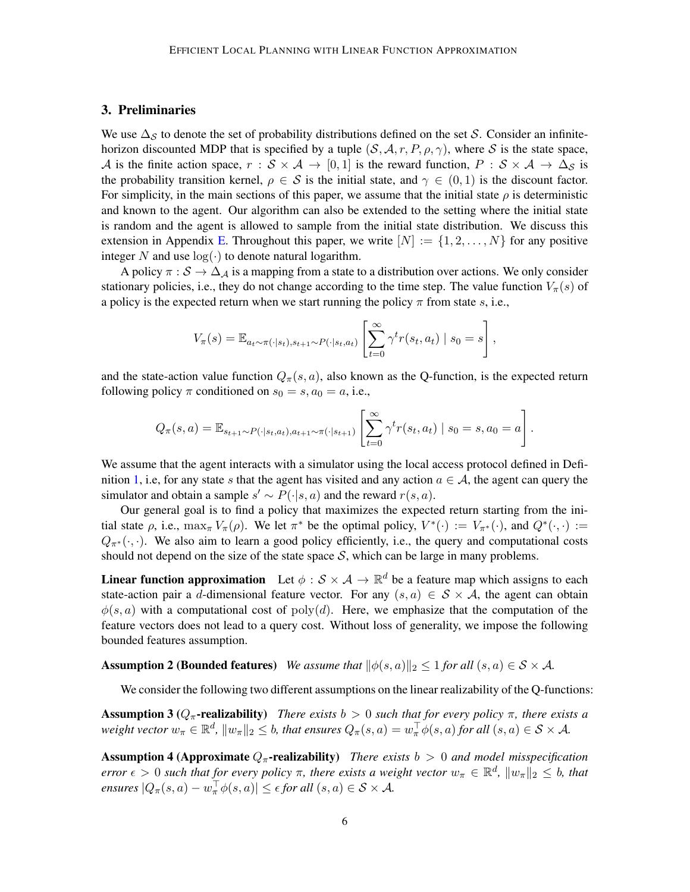# 3. Preliminaries

We use  $\Delta_S$  to denote the set of probability distributions defined on the set S. Consider an infinitehorizon discounted MDP that is specified by a tuple  $(S, \mathcal{A}, r, P, \rho, \gamma)$ , where S is the state space, A is the finite action space,  $r : S \times A \rightarrow [0,1]$  is the reward function,  $P : S \times A \rightarrow \Delta_S$  is the probability transition kernel,  $\rho \in S$  is the initial state, and  $\gamma \in (0,1)$  is the discount factor. For simplicity, in the main sections of this paper, we assume that the initial state  $\rho$  is deterministic and known to the agent. Our algorithm can also be extended to the setting where the initial state is random and the agent is allowed to sample from the initial state distribution. We discuss this extension in Appendix [E.](#page-27-1) Throughout this paper, we write  $[N] := \{1, 2, \ldots, N\}$  for any positive integer N and use  $log(·)$  to denote natural logarithm.

A policy  $\pi : \mathcal{S} \to \Delta_A$  is a mapping from a state to a distribution over actions. We only consider stationary policies, i.e., they do not change according to the time step. The value function  $V_\pi(s)$  of a policy is the expected return when we start running the policy  $\pi$  from state s, i.e.,

$$
V_{\pi}(s) = \mathbb{E}_{a_t \sim \pi(\cdot|s_t), s_{t+1} \sim P(\cdot|s_t, a_t)} \left[ \sum_{t=0}^{\infty} \gamma^t r(s_t, a_t) \mid s_0 = s \right],
$$

and the state-action value function  $Q_{\pi}(s, a)$ , also known as the Q-function, is the expected return following policy  $\pi$  conditioned on  $s_0 = s$ ,  $a_0 = a$ , i.e.,

$$
Q_{\pi}(s, a) = \mathbb{E}_{s_{t+1} \sim P(\cdot | s_t, a_t), a_{t+1} \sim \pi(\cdot | s_{t+1})} \left[ \sum_{t=0}^{\infty} \gamma^t r(s_t, a_t) \mid s_0 = s, a_0 = a \right].
$$

We assume that the agent interacts with a simulator using the local access protocol defined in Defi-nition [1,](#page-1-0) i.e, for any state s that the agent has visited and any action  $a \in A$ , the agent can query the simulator and obtain a sample  $s' \sim P(\cdot|s, a)$  and the reward  $r(s, a)$ .

Our general goal is to find a policy that maximizes the expected return starting from the initial state  $\rho$ , i.e.,  $\max_{\pi} V_{\pi}(\rho)$ . We let  $\pi^*$  be the optimal policy,  $V^*(\cdot) := V_{\pi^*}(\cdot)$ , and  $Q^*(\cdot, \cdot) :=$  $Q_{\pi^*}(\cdot, \cdot)$ . We also aim to learn a good policy efficiently, i.e., the query and computational costs should not depend on the size of the state space  $S$ , which can be large in many problems.

**Linear function approximation** Let  $\phi : \mathcal{S} \times \mathcal{A} \to \mathbb{R}^d$  be a feature map which assigns to each state-action pair a d-dimensional feature vector. For any  $(s, a) \in S \times A$ , the agent can obtain  $\phi(s, a)$  with a computational cost of poly(d). Here, we emphasize that the computation of the feature vectors does not lead to a query cost. Without loss of generality, we impose the following bounded features assumption.

**Assumption 2 (Bounded features)** *We assume that*  $\|\phi(s, a)\|_2 \leq 1$  *for all*  $(s, a) \in S \times A$ *.* 

<span id="page-5-2"></span><span id="page-5-0"></span>We consider the following two different assumptions on the linear realizability of the Q-functions:

**Assumption 3** ( $Q_{\pi}$ -realizability) *There exists*  $b > 0$  *such that for every policy*  $\pi$ *, there exists a* weight vector  $w_\pi\in\mathbb{R}^d$ ,  $\|w_\pi\|_2\leq b$ , that ensures  $Q_\pi(s,a)=w_\pi^\top\phi(s,a)$  for all  $(s,a)\in\mathcal{S}\times\mathcal{A}$ .

<span id="page-5-1"></span>Assumption 4 (Approximate  $Q_{\pi}$ -realizability) *There exists*  $b > 0$  *and model misspecification error*  $\epsilon > 0$  such that for every policy  $\pi$ , there exists a weight vector  $w_{\pi} \in \mathbb{R}^d$ ,  $||w_{\pi}||_2 \leq b$ , that *ensures*  $|Q_\pi(s, a) - w_\pi^\top \phi(s, a)| \le \epsilon$  *for all*  $(s, a) \in S \times A$ *.*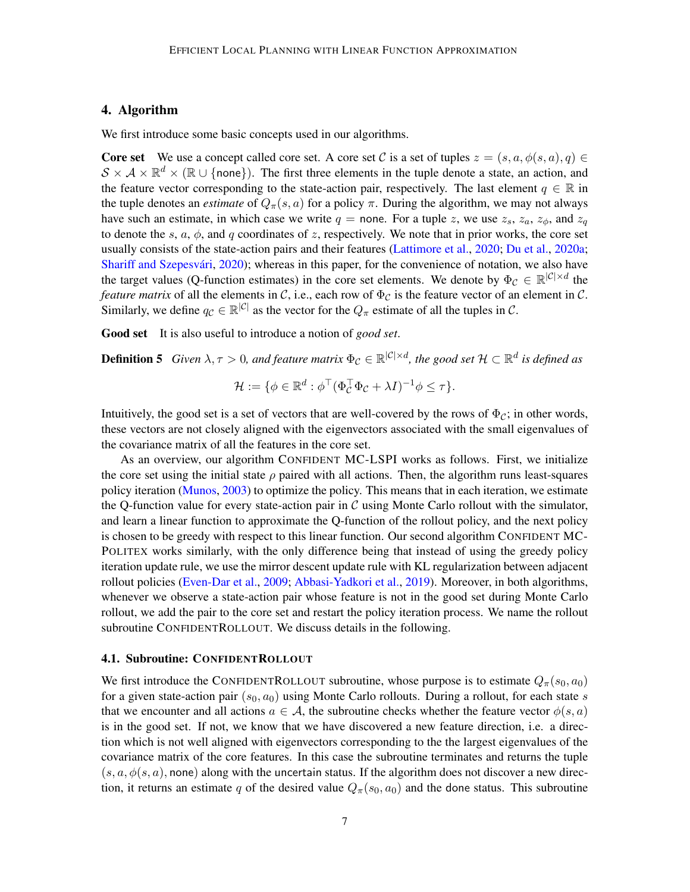# 4. Algorithm

We first introduce some basic concepts used in our algorithms.

**Core set** We use a concept called core set. A core set C is a set of tuples  $z = (s, a, \phi(s, a), q) \in$  $S \times A \times \mathbb{R}^d \times (\mathbb{R} \cup \{\text{none}\})$ . The first three elements in the tuple denote a state, an action, and the feature vector corresponding to the state-action pair, respectively. The last element  $q \in \mathbb{R}$  in the tuple denotes an *estimate* of  $Q_{\pi}(s, a)$  for a policy  $\pi$ . During the algorithm, we may not always have such an estimate, in which case we write  $q =$  none. For a tuple z, we use  $z_s$ ,  $z_a$ ,  $z_\phi$ , and  $z_q$ to denote the s,  $a, \phi$ , and q coordinates of z, respectively. We note that in prior works, the core set usually consists of the state-action pairs and their features [\(Lattimore et al.,](#page-13-1) [2020;](#page-13-1) [Du et al.,](#page-12-0) [2020a;](#page-12-0) Shariff and Szepesvári, [2020\)](#page-14-4); whereas in this paper, for the convenience of notation, we also have the target values (Q-function estimates) in the core set elements. We denote by  $\Phi_{\mathcal{C}} \in \mathbb{R}^{|\mathcal{C}| \times d}$  the *feature matrix* of all the elements in C, i.e., each row of  $\Phi_C$  is the feature vector of an element in C. Similarly, we define  $q_c \in \mathbb{R}^{|\mathcal{C}|}$  as the vector for the  $Q_\pi$  estimate of all the tuples in  $\mathcal{C}$ .

Good set It is also useful to introduce a notion of *good set*.

**Definition 5** Given  $\lambda, \tau > 0$ , and feature matrix  $\Phi_c \in \mathbb{R}^{|\mathcal{C}|\times d}$ , the good set  $\mathcal{H} \subset \mathbb{R}^d$  is defined as

<span id="page-6-0"></span>
$$
\mathcal{H} := \{ \phi \in \mathbb{R}^d : \phi^\top (\Phi_C^\top \Phi_C + \lambda I)^{-1} \phi \leq \tau \}.
$$

Intuitively, the good set is a set of vectors that are well-covered by the rows of  $\Phi_c$ ; in other words, these vectors are not closely aligned with the eigenvectors associated with the small eigenvalues of the covariance matrix of all the features in the core set.

As an overview, our algorithm CONFIDENT MC-LSPI works as follows. First, we initialize the core set using the initial state  $\rho$  paired with all actions. Then, the algorithm runs least-squares policy iteration [\(Munos,](#page-14-2) [2003\)](#page-14-2) to optimize the policy. This means that in each iteration, we estimate the Q-function value for every state-action pair in  $\mathcal C$  using Monte Carlo rollout with the simulator, and learn a linear function to approximate the Q-function of the rollout policy, and the next policy is chosen to be greedy with respect to this linear function. Our second algorithm CONFIDENT MC-POLITEX works similarly, with the only difference being that instead of using the greedy policy iteration update rule, we use the mirror descent update rule with KL regularization between adjacent rollout policies [\(Even-Dar et al.,](#page-13-2) [2009;](#page-13-2) [Abbasi-Yadkori et al.,](#page-12-2) [2019\)](#page-12-2). Moreover, in both algorithms, whenever we observe a state-action pair whose feature is not in the good set during Monte Carlo rollout, we add the pair to the core set and restart the policy iteration process. We name the rollout subroutine CONFIDENTROLLOUT. We discuss details in the following.

#### 4.1. Subroutine: CONFIDENTROLLOUT

We first introduce the CONFIDENTROLLOUT subroutine, whose purpose is to estimate  $Q_{\pi}(s_0, a_0)$ for a given state-action pair  $(s_0, a_0)$  using Monte Carlo rollouts. During a rollout, for each state s that we encounter and all actions  $a \in \mathcal{A}$ , the subroutine checks whether the feature vector  $\phi(s, a)$ is in the good set. If not, we know that we have discovered a new feature direction, i.e. a direction which is not well aligned with eigenvectors corresponding to the the largest eigenvalues of the covariance matrix of the core features. In this case the subroutine terminates and returns the tuple  $(s, a, \phi(s, a))$ , none) along with the uncertain status. If the algorithm does not discover a new direction, it returns an estimate q of the desired value  $Q_{\pi}(s_0, a_0)$  and the done status. This subroutine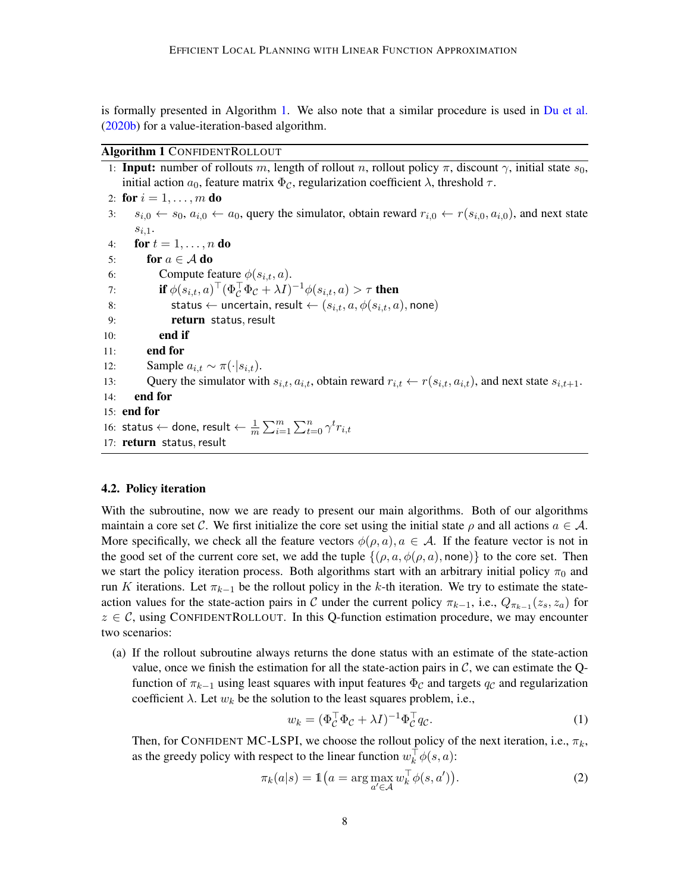is formally presented in Algorithm [1.](#page-7-0) We also note that a similar procedure is used in [Du et al.](#page-13-13) [\(2020b\)](#page-13-13) for a value-iteration-based algorithm.

#### Algorithm 1 CONFIDENTROLLOUT

<span id="page-7-0"></span>1: **Input:** number of rollouts m, length of rollout n, rollout policy  $\pi$ , discount  $\gamma$ , initial state  $s_0$ , initial action  $a_0$ , feature matrix  $\Phi_{\mathcal{C}}$ , regularization coefficient  $\lambda$ , threshold  $\tau$ . 2: for  $i = 1, ..., m$  do 3:  $s_{i,0} \leftarrow s_0, a_{i,0} \leftarrow a_0$ , query the simulator, obtain reward  $r_{i,0} \leftarrow r(s_{i,0}, a_{i,0})$ , and next state  $s_{i,1}$ . 4: **for**  $t = 1, ..., n$  **do** 5: for  $a \in \mathcal{A}$  do 6: Compute feature  $\phi(s_{i,t}, a)$ . 7: **if**  $\phi(s_{i,t}, a)^\top (\Phi_C^\top \Phi_C + \lambda I)^{-1} \phi(s_{i,t}, a) > \tau$  then 8: status ← uncertain, result ←  $(s_{i,t}, a, \phi(s_{i,t}, a),$  none) 9: return status,result 10: end if 11: end for 12: Sample  $a_{i,t} \sim \pi(\cdot|s_{i,t}).$ 13: Query the simulator with  $s_{i,t}$ ,  $a_{i,t}$ , obtain reward  $r_{i,t} \leftarrow r(s_{i,t}, a_{i,t})$ , and next state  $s_{i,t+1}$ . 14: end for 15: end for 16: status  $\leftarrow$  done, result  $\leftarrow \frac{1}{m}\sum_{i=1}^{m}\sum_{t=0}^{n}\gamma^{t}r_{i,t}$ 17: return status, result

## 4.2. Policy iteration

With the subroutine, now we are ready to present our main algorithms. Both of our algorithms maintain a core set C. We first initialize the core set using the initial state  $\rho$  and all actions  $a \in \mathcal{A}$ . More specifically, we check all the feature vectors  $\phi(\rho, a), a \in \mathcal{A}$ . If the feature vector is not in the good set of the current core set, we add the tuple  $\{(\rho, a, \phi(\rho, a), \text{none})\}$  to the core set. Then we start the policy iteration process. Both algorithms start with an arbitrary initial policy  $\pi_0$  and run K iterations. Let  $\pi_{k-1}$  be the rollout policy in the k-th iteration. We try to estimate the stateaction values for the state-action pairs in C under the current policy  $\pi_{k-1}$ , i.e.,  $Q_{\pi_{k-1}}(z_s, z_a)$  for  $z \in \mathcal{C}$ , using CONFIDENTROLLOUT. In this Q-function estimation procedure, we may encounter two scenarios:

(a) If the rollout subroutine always returns the done status with an estimate of the state-action value, once we finish the estimation for all the state-action pairs in  $C$ , we can estimate the Qfunction of  $\pi_{k-1}$  using least squares with input features  $\Phi_{\mathcal{C}}$  and targets  $q_{\mathcal{C}}$  and regularization coefficient  $\lambda$ . Let  $w_k$  be the solution to the least squares problem, i.e.,

<span id="page-7-1"></span>
$$
w_k = (\Phi_C^{\top} \Phi_C + \lambda I)^{-1} \Phi_C^{\top} q_C.
$$
 (1)

Then, for CONFIDENT MC-LSPI, we choose the rollout policy of the next iteration, i.e.,  $\pi_k$ , as the greedy policy with respect to the linear function  $w_k^{\top} \phi(s, a)$ :

$$
\pi_k(a|s) = \mathbb{1}\big(a = \arg\max_{a' \in \mathcal{A}} w_k^\top \phi(s, a')\big). \tag{2}
$$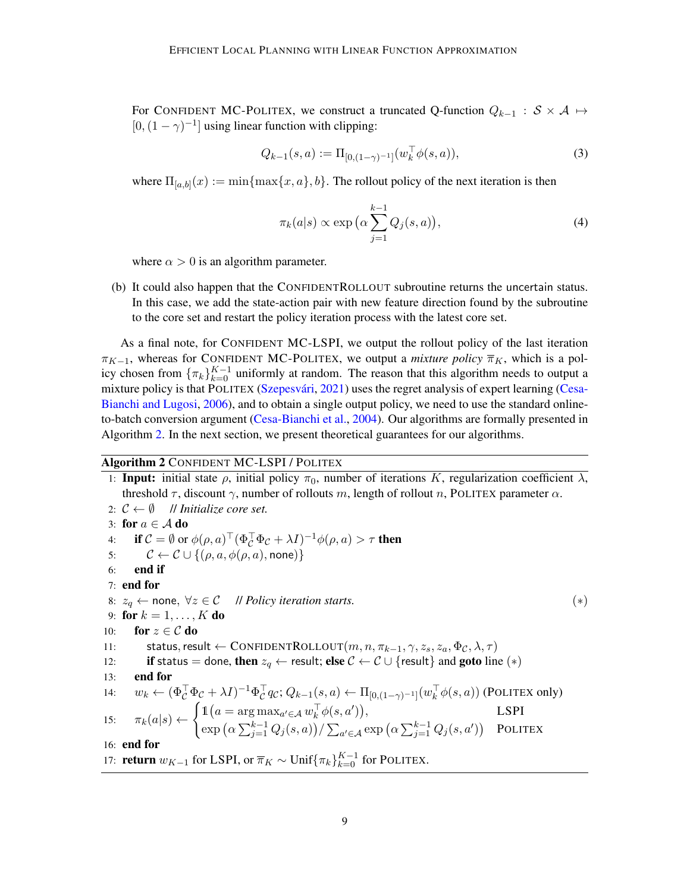For CONFIDENT MC-POLITEX, we construct a truncated Q-function  $Q_{k-1}$  :  $S \times A \mapsto$  $[0,(1-\gamma)^{-1}]$  using linear function with clipping:

$$
Q_{k-1}(s, a) := \Pi_{[0,(1-\gamma)^{-1}]}(w_k^{\top} \phi(s, a)),\tag{3}
$$

where  $\Pi_{[a,b]}(x) := \min\{\max\{x,a\},b\}$ . The rollout policy of the next iteration is then

<span id="page-8-2"></span><span id="page-8-1"></span>
$$
\pi_k(a|s) \propto \exp\left(\alpha \sum_{j=1}^{k-1} Q_j(s, a)\right),\tag{4}
$$

where  $\alpha > 0$  is an algorithm parameter.

(b) It could also happen that the CONFIDENTROLLOUT subroutine returns the uncertain status. In this case, we add the state-action pair with new feature direction found by the subroutine to the core set and restart the policy iteration process with the latest core set.

As a final note, for CONFIDENT MC-LSPI, we output the rollout policy of the last iteration  $\pi_{K-1}$ , whereas for CONFIDENT MC-POLITEX, we output a *mixture policy*  $\overline{\pi}_K$ , which is a policy chosen from  $\{\pi_k\}_{k=0}^{K-1}$  uniformly at random. The reason that this algorithm needs to output a mixture policy is that POLITEX (Szepesvári, [2021\)](#page-14-13) uses the regret analysis of expert learning [\(Cesa-](#page-12-10)[Bianchi and Lugosi,](#page-12-10) [2006\)](#page-12-10), and to obtain a single output policy, we need to use the standard onlineto-batch conversion argument [\(Cesa-Bianchi et al.,](#page-12-4) [2004\)](#page-12-4). Our algorithms are formally presented in Algorithm [2.](#page-8-0) In the next section, we present theoretical guarantees for our algorithms.

#### Algorithm 2 CONFIDENT MC-LSPI / POLITEX

<span id="page-8-0"></span>1: **Input:** initial state  $\rho$ , initial policy  $\pi_0$ , number of iterations K, regularization coefficient  $\lambda$ , threshold  $\tau$ , discount  $\gamma$ , number of rollouts m, length of rollout n, POLITEX parameter  $\alpha$ . 2:  $C \leftarrow \emptyset$  // *Initialize core set.* 3: for  $a \in A$  do 4: if  $C = \emptyset$  or  $\phi(\rho, a)^\top (\Phi_C^\top \Phi_C + \lambda I)^{-1} \phi(\rho, a) > \tau$  then 5:  $\mathcal{C} \leftarrow \mathcal{C} \cup \{(\rho, a, \phi(\rho, a), \text{none})\}$ 6: end if 7: end for 8:  $z_q \leftarrow$  none,  $\forall z \in \mathcal{C}$  // *Policy iteration starts.* (\*) 9: for  $k = 1, ..., K$  do 10: for  $z \in \mathcal{C}$  do 11: status, result ← CONFIDENTROLLOUT $(m, n, \pi_{k-1}, \gamma, z_s, z_a, \Phi_{\mathcal{C}}, \lambda, \tau)$ 12: **if** status = done, then  $z_q \leftarrow$  result; else  $C \leftarrow C \cup \{\text{result}\}\$ and goto line  $(*)$ 13: end for 14:  $w_k \leftarrow (\Phi_{\mathcal{C}}^{\top} \Phi_{\mathcal{C}} + \lambda I)^{-1} \Phi_{\mathcal{C}}^{\top} q_{\mathcal{C}}; Q_{k-1}(s, a) \leftarrow \Pi_{[0, (1-\gamma)^{-1}]} (w_k^{\top} \phi(s, a))$  (POLITEX only) 15:  $\pi_k(a|s) \leftarrow$  $\int 1\!\mathrm{I}(a = \arg \max_{a' \in A} w_k^{\top} \phi(s, a'))$ , LSPI  $\exp\big(\alpha \sum_{j=1}^{k-1}Q_j(s,a)\big)/\sum_{a'\in \mathcal{A}}\exp\big(\alpha \sum_{j=1}^{k-1}Q_j(s,a')\big)$  Politex 16: end for 17: **return**  $w_{K-1}$  for LSPI, or  $\overline{\pi}_K \sim$  Unif{ $\pi_k$ }<sup>K-1</sup> for POLITEX.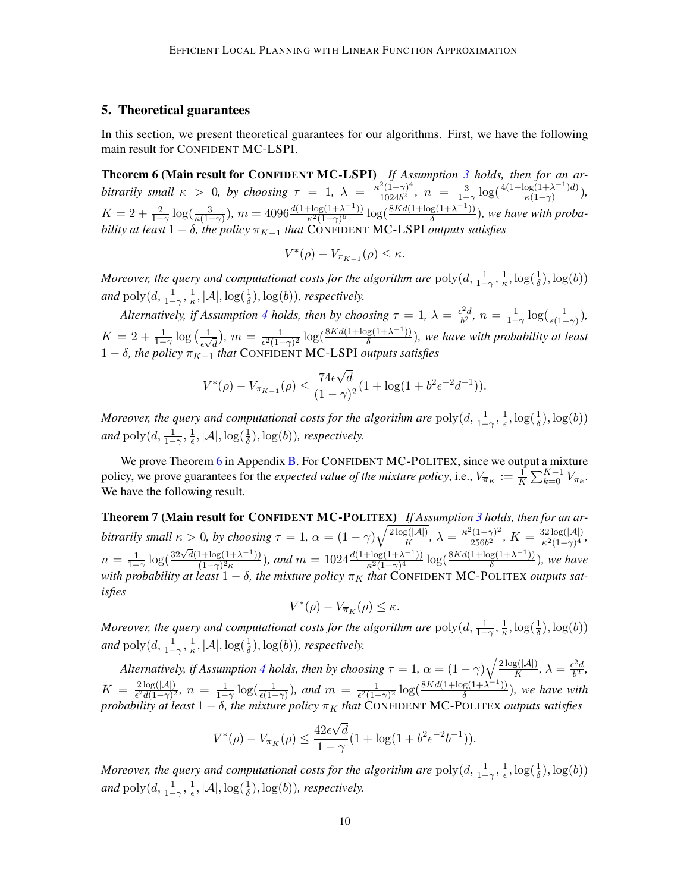### <span id="page-9-0"></span>5. Theoretical guarantees

In this section, we present theoretical guarantees for our algorithms. First, we have the following main result for CONFIDENT MC-LSPI.

<span id="page-9-1"></span>Theorem 6 (Main result for CONFIDENT MC-LSPI) *If Assumption [3](#page-5-0) holds, then for an arbitrarily small*  $\kappa > 0$ , *by choosing*  $\tau = 1$ ,  $\lambda = \frac{\kappa^2(1-\gamma)^4}{1024\kappa^2}$  $\frac{12(1-\gamma)^4}{1024b^2}, \; n = \frac{3}{1-\gamma} \log(\frac{4(1+\log(1+\lambda^{-1})d)}{\kappa(1-\gamma)})$  $\frac{\log(1+\lambda^{-1})a)}{\kappa(1-\gamma)}$ ),  $K = 2 + \frac{2}{1-\gamma} \log(\frac{3}{\kappa(1-\gamma)}), m = 4096 \frac{d(1+\log(1+\lambda^{-1}))}{\kappa^2(1-\gamma)^6}$  $\frac{\log(1+\lambda^{-1})}{\kappa^2(1-\gamma)^6} \log(\frac{8Kd(1+\log(1+\lambda^{-1}))}{δ})$  $\frac{g(1+\lambda^{-1})}{\delta}$ ), we have with proba*bility at least*  $1 - \delta$ *, the policy*  $\pi_{K-1}$  *that* CONFIDENT MC-LSPI *outputs satisfies* 

$$
V^*(\rho) - V_{\pi_{K-1}}(\rho) \le \kappa.
$$

*Moreover, the query and computational costs for the algorithm are*  $\text{poly}(d, \frac{1}{1-\gamma}, \frac{1}{\kappa})$  $\frac{1}{\kappa}, \log(\frac{1}{\delta}), \log(b))$ and  $\operatorname{poly}(d, \frac{1}{1-\gamma}, \frac{1}{\kappa})$  $\frac{1}{\kappa}, |\mathcal{A}|, \log(\frac{1}{\delta}), \log(b)$ *), respectively.* 

*Alternatively, if Assumption [4](#page-5-1) holds, then by choosing*  $\tau = 1$ ,  $\lambda = \frac{\epsilon^2 d}{h^2}$  $\frac{e^{2}d}{b^{2}}, n = \frac{1}{1-\gamma}\log(\frac{1}{\epsilon(1-\gamma)}),$  $K = 2 + \frac{1}{1-\gamma} \log \left( \frac{1}{\epsilon \sqrt{2\pi}} \right)$  $\frac{1}{\epsilon\sqrt{d}}$ ),  $m = \frac{1}{\epsilon^2(1-\epsilon)}$  $\frac{1}{\epsilon^2(1-\gamma)^2} \log(\frac{8Kd(1+\log(1+\lambda^{-1}))}{\delta})$  $\frac{g(1+\lambda^{-1})}{\delta}$ ), we have with probability at least 1 − δ, the policy  $\pi_{K-1}$  *that* CONFIDENT MC-LSPI *outputs satisfies* 

$$
V^*(\rho) - V_{\pi_{K-1}}(\rho) \le \frac{74\epsilon\sqrt{d}}{(1-\gamma)^2} (1 + \log(1 + b^2 \epsilon^{-2} d^{-1})).
$$

*Moreover, the query and computational costs for the algorithm are*  $\text{poly}(d, \frac{1}{1-\gamma}, \frac{1}{\epsilon})$  $\frac{1}{\epsilon}, \log(\frac{1}{\delta}), \log(b))$ and  $\operatorname{poly}(d, \frac{1}{1-\gamma}, \frac{1}{\epsilon})$  $\frac{1}{\epsilon}$ ,  $|\mathcal{A}|$ ,  $\log(\frac{1}{\delta})$ ,  $\log(b)$ ), respectively.

We prove Theorem [6](#page-9-1) in Appendix [B.](#page-16-0) For CONFIDENT MC-POLITEX, since we output a mixture policy, we prove guarantees for the *expected value of the mixture policy*, i.e.,  $V_{\overline{\pi}_K} := \frac{1}{K} \sum_{k=0}^{K-1} V_{\pi_k}$ . We have the following result.

<span id="page-9-2"></span>Theorem 7 (Main result for CONFIDENT MC-POLITEX) *If Assumption [3](#page-5-0) holds, then for an arbitrarily small*  $\kappa > 0$ , by choosing  $\tau = 1$ ,  $\alpha = (1 - \gamma) \sqrt{\frac{2 \log(|\mathcal{A}|)}{K}}$  $\frac{g(|\mathcal{A}|)}{K}, \, \lambda = \frac{\kappa^2(1-\gamma)^2}{256b^2}$  $\frac{2(1-\gamma)^2}{256b^2}$ ,  $K = \frac{32\log(|\mathcal{A}|)}{\kappa^2(1-\gamma)^4}$  $\frac{\kappa^2(1-\gamma)^4}{\kappa^2(1-\gamma)^4},$  $n = \frac{1}{1-\gamma} \log(\frac{32\sqrt{d}(1+\log(1+\lambda^{-1}))}{(1-\gamma)^2 \kappa})$  $\frac{1+\log(1+\lambda^{-1}))}{(1-\gamma)^2\kappa}$ ), and  $m = 1024 \frac{d(1+\log(1+\lambda^{-1}))}{\kappa^2(1-\gamma)^4}$  $\frac{\log(1+\lambda^{-1})}{\kappa^2(1-\gamma)^4} \log(\frac{8Kd(1+\log(1+\lambda^{-1}))}{\delta})$  $\frac{\log(1+\lambda^{-1})}{\delta}$ ), we have with probability at least  $1 - \delta$ , the mixture policy  $\overline{\pi}_K$  that CONFIDENT MC-POLITEX outputs sat*isfies*

$$
V^*(\rho) - V_{\overline{\pi}_K}(\rho) \le \kappa.
$$

*Moreover, the query and computational costs for the algorithm are*  $\text{poly}(d, \frac{1}{1-\gamma}, \frac{1}{\kappa})$  $\frac{1}{\kappa}, \log(\frac{1}{\delta}), \log(b))$ and  $\operatorname{poly}(d, \frac{1}{1-\gamma}, \frac{1}{\kappa})$  $\frac{1}{\kappa}, |\mathcal{A}|, \log(\frac{1}{\delta}), \log(b)$ *), respectively.* 

*Alternatively, if Assumption [4](#page-5-1) holds, then by choosing*  $\tau = 1$ ,  $\alpha = (1 - \gamma) \sqrt{\frac{2 \log(|\mathcal{A}|)}{K}}$  $\frac{g(|\mathcal{A}|)}{K}, \, \lambda = \frac{\epsilon^2 d}{b^2}$  $\frac{d}{b^2}$ ,  $K = \frac{2 \log(|\mathcal{A}|)}{\epsilon^2 d (1 - \gamma)^2}$  $\frac{2\log(|\mathcal{A}|)}{\epsilon^2 d(1-\gamma)^2}$ ,  $n = \frac{1}{1-\gamma} \log(\frac{1}{\epsilon(1-\gamma)})$ , and  $m = \frac{1}{\epsilon^2(1-\gamma)^2}$  $\frac{1}{\epsilon^2(1-\gamma)^2} \log(\frac{8Kd(1+\log(1+\lambda^{-1}))}{\delta})$  $\frac{g(1+\lambda^{-1})}{\delta}$ ), we have with *probability at least*  $1 - \delta$ *, the mixture policy*  $\overline{\pi}_K$  *that* CONFIDENT MC-POLITEX *outputs satisfies* 

$$
V^*(\rho) - V_{\overline{\pi}_K}(\rho) \le \frac{42\epsilon\sqrt{d}}{1-\gamma} (1 + \log(1 + b^2 \epsilon^{-2} b^{-1})).
$$

*Moreover, the query and computational costs for the algorithm are*  $\text{poly}(d, \frac{1}{1-\gamma}, \frac{1}{\epsilon})$  $\frac{1}{\epsilon}, \log(\frac{1}{\delta}), \log(b))$ and  $\operatorname{poly}(d, \frac{1}{1-\gamma}, \frac{1}{\epsilon})$  $\frac{1}{\epsilon}$ ,  $|\mathcal{A}|$ ,  $\log(\frac{1}{\delta})$ ,  $\log(b)$ ), respectively.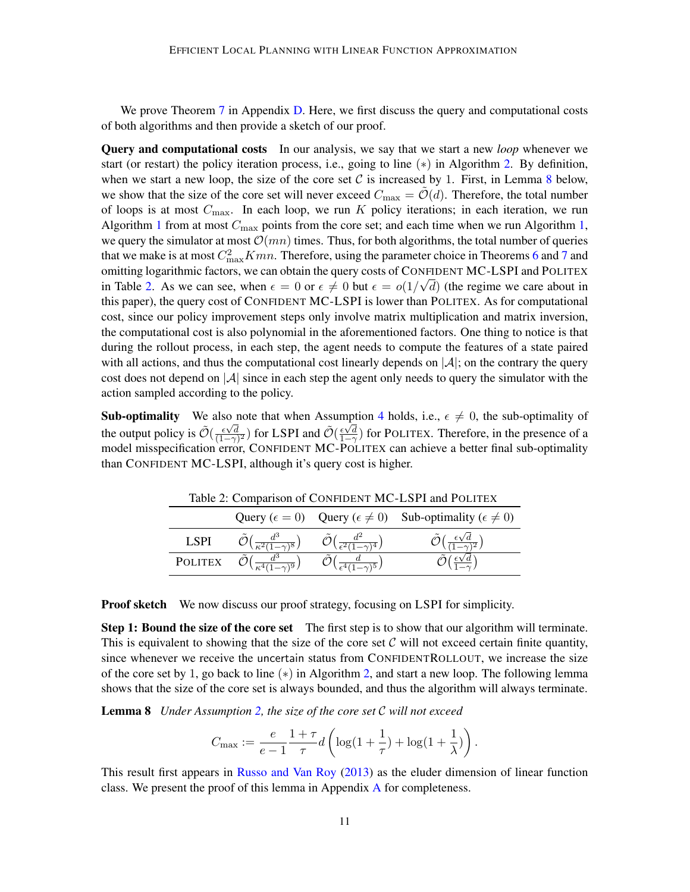We prove Theorem [7](#page-9-2) in Appendix [D.](#page-24-0) Here, we first discuss the query and computational costs of both algorithms and then provide a sketch of our proof.

Query and computational costs In our analysis, we say that we start a new *loop* whenever we start (or restart) the policy iteration process, i.e., going to line  $(*)$  in Algorithm [2.](#page-8-0) By definition, when we start a new loop, the size of the core set  $C$  is increased by 1. First, in Lemma [8](#page-10-0) below, we show that the size of the core set will never exceed  $C_{\text{max}} = \mathcal{O}(d)$ . Therefore, the total number of loops is at most  $C_{\text{max}}$ . In each loop, we run K policy iterations; in each iteration, we run Algorithm [1](#page-7-0) from at most  $C_{\text{max}}$  points from the core set; and each time when we run Algorithm [1,](#page-7-0) we query the simulator at most  $\mathcal{O}(mn)$  times. Thus, for both algorithms, the total number of queries that we make is at most  $C_{\text{max}}^2 Kmn$ . Therefore, using the parameter choice in Theorems [6](#page-9-1) and [7](#page-9-2) and omitting logarithmic factors, we can obtain the query costs of CONFIDENT MC-LSPI and POLITEX in Table [2.](#page-10-1) As we can see, when  $\epsilon = 0$  or  $\epsilon \neq 0$  but  $\epsilon = o(1/\sqrt{d})$  (the regime we care about in this paper), the query cost of CONFIDENT MC-LSPI is lower than POLITEX. As for computational cost, since our policy improvement steps only involve matrix multiplication and matrix inversion, the computational cost is also polynomial in the aforementioned factors. One thing to notice is that during the rollout process, in each step, the agent needs to compute the features of a state paired with all actions, and thus the computational cost linearly depends on  $|\mathcal{A}|$ ; on the contrary the query cost does not depend on  $|\mathcal{A}|$  since in each step the agent only needs to query the simulator with the action sampled according to the policy.

**Sub-optimality** We also note that when Assumption [4](#page-5-1) holds, i.e.,  $\epsilon \neq 0$ , the sub-optimality of the output policy is  $\tilde{\mathcal{O}}(\frac{\epsilon \sqrt{d}}{(1-\alpha)})$  $\frac{\epsilon \sqrt{d}}{(1-\gamma)^2}$ ) for LSPI and  $\tilde{\mathcal{O}}(\frac{\epsilon \sqrt{d}}{1-\gamma})$  for POLITEX. Therefore, in the presence of a model misspecification error, CONFIDENT MC-POLITEX can achieve a better final sub-optimality than CONFIDENT MC-LSPI, although it's query cost is higher.

Table 2: Comparison of CONFIDENT MC-LSPI and POLITEX

<span id="page-10-1"></span>

|                |  | Query ( $\epsilon = 0$ ) Query ( $\epsilon \neq 0$ ) Sub-optimality ( $\epsilon \neq 0$ ) |
|----------------|--|-------------------------------------------------------------------------------------------|
| LSPI           |  | $\ell'$ ) ( $\frac{\epsilon \sqrt{d}}{d}$                                                 |
| <b>POLITEX</b> |  |                                                                                           |

**Proof sketch** We now discuss our proof strategy, focusing on LSPI for simplicity.

**Step 1: Bound the size of the core set** The first step is to show that our algorithm will terminate. This is equivalent to showing that the size of the core set  $C$  will not exceed certain finite quantity, since whenever we receive the uncertain status from CONFIDENTROLLOUT, we increase the size of the core set by 1, go back to line  $(*)$  in Algorithm [2,](#page-8-0) and start a new loop. The following lemma shows that the size of the core set is always bounded, and thus the algorithm will always terminate.

Lemma 8 *Under Assumption [2,](#page-5-2) the size of the core set* C *will not exceed*

<span id="page-10-0"></span>
$$
C_{\max} := \frac{e}{e-1} \frac{1+\tau}{\tau} d\left(\log(1+\frac{1}{\tau}) + \log(1+\frac{1}{\lambda})\right).
$$

This result first appears in [Russo and Van Roy](#page-14-11) [\(2013\)](#page-14-11) as the eluder dimension of linear function class. We present the proof of this lemma in Appendix [A](#page-15-8) for completeness.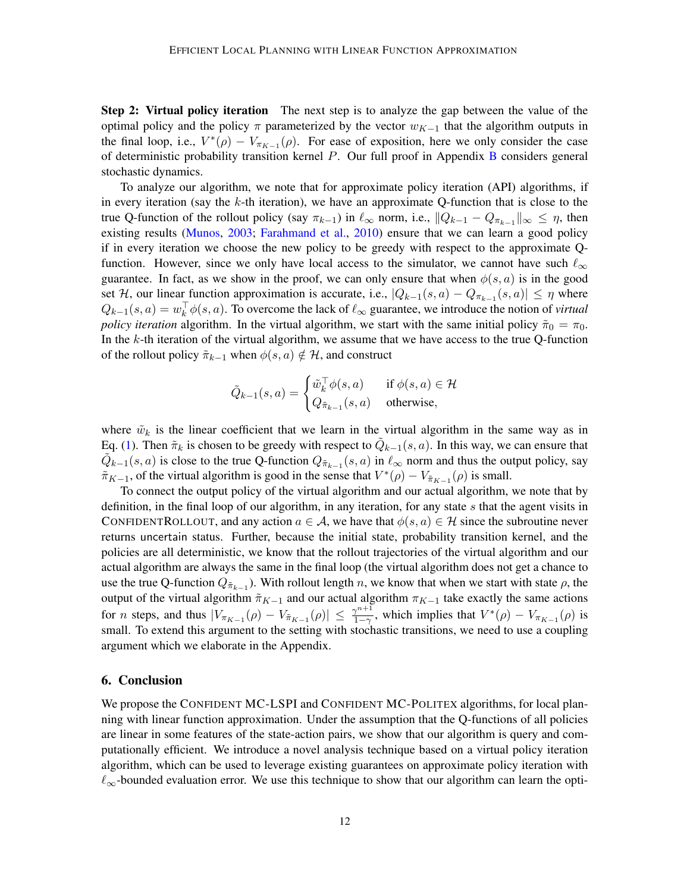Step 2: Virtual policy iteration The next step is to analyze the gap between the value of the optimal policy and the policy  $\pi$  parameterized by the vector  $w_{K-1}$  that the algorithm outputs in the final loop, i.e.,  $V^*(\rho) - V_{\pi_{K-1}}(\rho)$ . For ease of exposition, here we only consider the case of deterministic probability transition kernel P. Our full proof in Appendix [B](#page-16-0) considers general stochastic dynamics.

To analyze our algorithm, we note that for approximate policy iteration (API) algorithms, if in every iteration (say the  $k$ -th iteration), we have an approximate Q-function that is close to the true Q-function of the rollout policy (say  $\pi_{k-1}$ ) in  $\ell_{\infty}$  norm, i.e.,  $||Q_{k-1} - Q_{\pi_{k-1}}||_{\infty} \leq \eta$ , then existing results [\(Munos,](#page-14-2) [2003;](#page-14-2) [Farahmand et al.,](#page-13-4) [2010\)](#page-13-4) ensure that we can learn a good policy if in every iteration we choose the new policy to be greedy with respect to the approximate Qfunction. However, since we only have local access to the simulator, we cannot have such  $\ell_{\infty}$ guarantee. In fact, as we show in the proof, we can only ensure that when  $\phi(s, a)$  is in the good set H, our linear function approximation is accurate, i.e.,  $|Q_{k-1}(s, a) - Q_{\pi_{k-1}}(s, a)| \leq \eta$  where  $Q_{k-1}(s, a) = w_k^{\top} \phi(s, a)$ . To overcome the lack of  $\ell_{\infty}$  guarantee, we introduce the notion of *virtual policy iteration* algorithm. In the virtual algorithm, we start with the same initial policy  $\tilde{\pi}_0 = \pi_0$ . In the k-th iteration of the virtual algorithm, we assume that we have access to the true Q-function of the rollout policy  $\tilde{\pi}_{k-1}$  when  $\phi(s, a) \notin \mathcal{H}$ , and construct

$$
\tilde{Q}_{k-1}(s, a) = \begin{cases} \tilde{w}_k^{\top} \phi(s, a) & \text{if } \phi(s, a) \in \mathcal{H} \\ Q_{\tilde{\pi}_{k-1}}(s, a) & \text{otherwise,} \end{cases}
$$

where  $\tilde{w}_k$  is the linear coefficient that we learn in the virtual algorithm in the same way as in Eq. [\(1\)](#page-7-1). Then  $\tilde{\pi}_k$  is chosen to be greedy with respect to  $\tilde{Q}_{k-1}(s, a)$ . In this way, we can ensure that  $\tilde{Q}_{k-1}(s, a)$  is close to the true Q-function  $Q_{\tilde{\pi}_{k-1}}(s, a)$  in  $\ell_{\infty}$  norm and thus the output policy, say  $\tilde{\pi}_{K-1}$ , of the virtual algorithm is good in the sense that  $V^*(\rho) - V_{\tilde{\pi}_{K-1}}(\rho)$  is small.

To connect the output policy of the virtual algorithm and our actual algorithm, we note that by definition, in the final loop of our algorithm, in any iteration, for any state s that the agent visits in CONFIDENTROLLOUT, and any action  $a \in \mathcal{A}$ , we have that  $\phi(s, a) \in \mathcal{H}$  since the subroutine never returns uncertain status. Further, because the initial state, probability transition kernel, and the policies are all deterministic, we know that the rollout trajectories of the virtual algorithm and our actual algorithm are always the same in the final loop (the virtual algorithm does not get a chance to use the true Q-function  $Q_{\tilde{\pi}_{k-1}}$ ). With rollout length n, we know that when we start with state  $\rho$ , the output of the virtual algorithm  $\tilde{\pi}_{K-1}$  and our actual algorithm  $\pi_{K-1}$  take exactly the same actions for *n* steps, and thus  $|V_{\pi_{K-1}}(\rho) - V_{\tilde{\pi}_{K-1}}(\rho)| \leq \frac{\gamma^{n+1}}{1-\gamma}$  $\frac{\gamma^{n+1}}{1-\gamma}$ , which implies that  $V^*(\rho) - V_{\pi_{K-1}}(\rho)$  is small. To extend this argument to the setting with stochastic transitions, we need to use a coupling argument which we elaborate in the Appendix.

### 6. Conclusion

We propose the CONFIDENT MC-LSPI and CONFIDENT MC-POLITEX algorithms, for local planning with linear function approximation. Under the assumption that the Q-functions of all policies are linear in some features of the state-action pairs, we show that our algorithm is query and computationally efficient. We introduce a novel analysis technique based on a virtual policy iteration algorithm, which can be used to leverage existing guarantees on approximate policy iteration with  $\ell_{\infty}$ -bounded evaluation error. We use this technique to show that our algorithm can learn the opti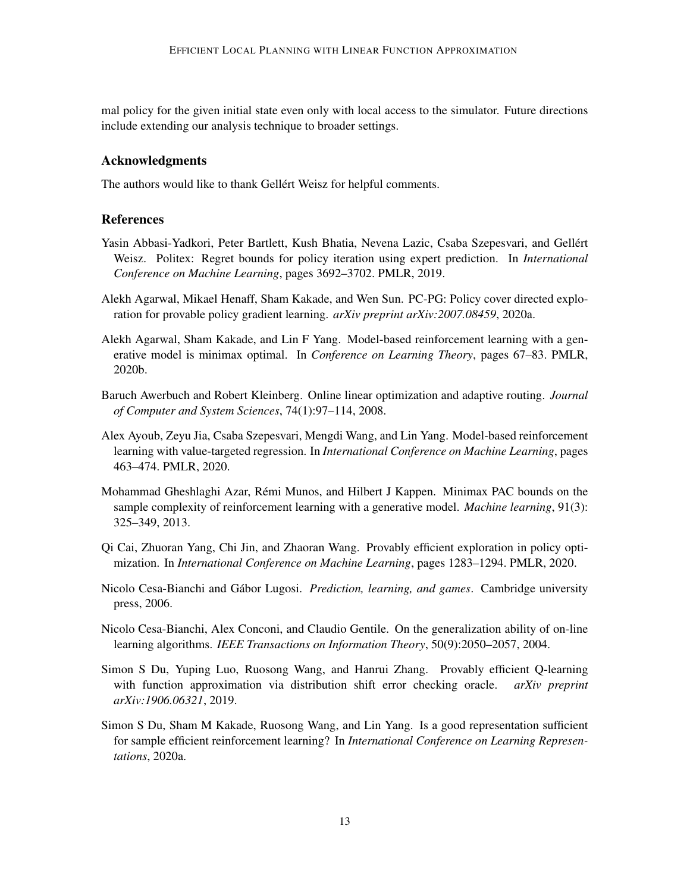mal policy for the given initial state even only with local access to the simulator. Future directions include extending our analysis technique to broader settings.

# Acknowledgments

The authors would like to thank Gellért Weisz for helpful comments.

# References

- <span id="page-12-2"></span>Yasin Abbasi-Yadkori, Peter Bartlett, Kush Bhatia, Nevena Lazic, Csaba Szepesvari, and Gellert ´ Weisz. Politex: Regret bounds for policy iteration using expert prediction. In *International Conference on Machine Learning*, pages 3692–3702. PMLR, 2019.
- <span id="page-12-5"></span>Alekh Agarwal, Mikael Henaff, Sham Kakade, and Wen Sun. PC-PG: Policy cover directed exploration for provable policy gradient learning. *arXiv preprint arXiv:2007.08459*, 2020a.
- <span id="page-12-6"></span>Alekh Agarwal, Sham Kakade, and Lin F Yang. Model-based reinforcement learning with a generative model is minimax optimal. In *Conference on Learning Theory*, pages 67–83. PMLR, 2020b.
- <span id="page-12-1"></span>Baruch Awerbuch and Robert Kleinberg. Online linear optimization and adaptive routing. *Journal of Computer and System Sciences*, 74(1):97–114, 2008.
- <span id="page-12-8"></span>Alex Ayoub, Zeyu Jia, Csaba Szepesvari, Mengdi Wang, and Lin Yang. Model-based reinforcement learning with value-targeted regression. In *International Conference on Machine Learning*, pages 463–474. PMLR, 2020.
- <span id="page-12-7"></span>Mohammad Gheshlaghi Azar, Rémi Munos, and Hilbert J Kappen. Minimax PAC bounds on the sample complexity of reinforcement learning with a generative model. *Machine learning*, 91(3): 325–349, 2013.
- <span id="page-12-3"></span>Qi Cai, Zhuoran Yang, Chi Jin, and Zhaoran Wang. Provably efficient exploration in policy optimization. In *International Conference on Machine Learning*, pages 1283–1294. PMLR, 2020.
- <span id="page-12-10"></span>Nicolo Cesa-Bianchi and Gábor Lugosi. *Prediction, learning, and games*. Cambridge university press, 2006.
- <span id="page-12-4"></span>Nicolo Cesa-Bianchi, Alex Conconi, and Claudio Gentile. On the generalization ability of on-line learning algorithms. *IEEE Transactions on Information Theory*, 50(9):2050–2057, 2004.
- <span id="page-12-9"></span>Simon S Du, Yuping Luo, Ruosong Wang, and Hanrui Zhang. Provably efficient Q-learning with function approximation via distribution shift error checking oracle. *arXiv preprint arXiv:1906.06321*, 2019.
- <span id="page-12-0"></span>Simon S Du, Sham M Kakade, Ruosong Wang, and Lin Yang. Is a good representation sufficient for sample efficient reinforcement learning? In *International Conference on Learning Representations*, 2020a.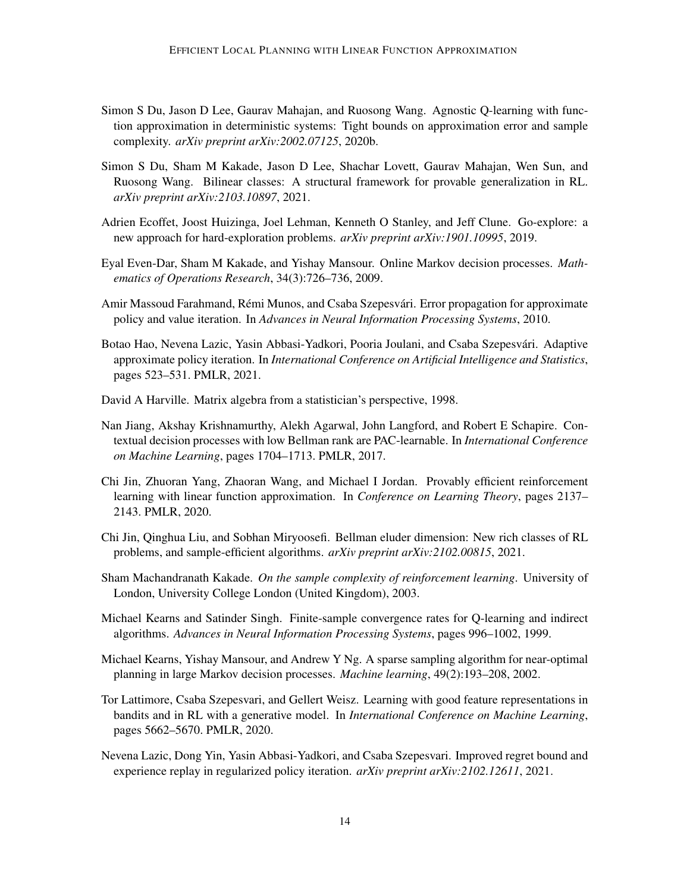- <span id="page-13-13"></span>Simon S Du, Jason D Lee, Gaurav Mahajan, and Ruosong Wang. Agnostic Q-learning with function approximation in deterministic systems: Tight bounds on approximation error and sample complexity. *arXiv preprint arXiv:2002.07125*, 2020b.
- <span id="page-13-8"></span>Simon S Du, Sham M Kakade, Jason D Lee, Shachar Lovett, Gaurav Mahajan, Wen Sun, and Ruosong Wang. Bilinear classes: A structural framework for provable generalization in RL. *arXiv preprint arXiv:2103.10897*, 2021.
- <span id="page-13-6"></span>Adrien Ecoffet, Joost Huizinga, Joel Lehman, Kenneth O Stanley, and Jeff Clune. Go-explore: a new approach for hard-exploration problems. *arXiv preprint arXiv:1901.10995*, 2019.
- <span id="page-13-2"></span>Eyal Even-Dar, Sham M Kakade, and Yishay Mansour. Online Markov decision processes. *Mathematics of Operations Research*, 34(3):726–736, 2009.
- <span id="page-13-4"></span>Amir Massoud Farahmand, Rémi Munos, and Csaba Szepesvári. Error propagation for approximate policy and value iteration. In *Advances in Neural Information Processing Systems*, 2010.
- <span id="page-13-11"></span>Botao Hao, Nevena Lazic, Yasin Abbasi-Yadkori, Pooria Joulani, and Csaba Szepesvári. Adaptive approximate policy iteration. In *International Conference on Artificial Intelligence and Statistics*, pages 523–531. PMLR, 2021.
- <span id="page-13-14"></span>David A Harville. Matrix algebra from a statistician's perspective, 1998.
- <span id="page-13-7"></span>Nan Jiang, Akshay Krishnamurthy, Alekh Agarwal, John Langford, and Robert E Schapire. Contextual decision processes with low Bellman rank are PAC-learnable. In *International Conference on Machine Learning*, pages 1704–1713. PMLR, 2017.
- <span id="page-13-3"></span>Chi Jin, Zhuoran Yang, Zhaoran Wang, and Michael I Jordan. Provably efficient reinforcement learning with linear function approximation. In *Conference on Learning Theory*, pages 2137– 2143. PMLR, 2020.
- <span id="page-13-12"></span>Chi Jin, Qinghua Liu, and Sobhan Miryoosefi. Bellman eluder dimension: New rich classes of RL problems, and sample-efficient algorithms. *arXiv preprint arXiv:2102.00815*, 2021.
- <span id="page-13-0"></span>Sham Machandranath Kakade. *On the sample complexity of reinforcement learning*. University of London, University College London (United Kingdom), 2003.
- <span id="page-13-5"></span>Michael Kearns and Satinder Singh. Finite-sample convergence rates for Q-learning and indirect algorithms. *Advances in Neural Information Processing Systems*, pages 996–1002, 1999.
- <span id="page-13-10"></span>Michael Kearns, Yishay Mansour, and Andrew Y Ng. A sparse sampling algorithm for near-optimal planning in large Markov decision processes. *Machine learning*, 49(2):193–208, 2002.
- <span id="page-13-1"></span>Tor Lattimore, Csaba Szepesvari, and Gellert Weisz. Learning with good feature representations in bandits and in RL with a generative model. In *International Conference on Machine Learning*, pages 5662–5670. PMLR, 2020.
- <span id="page-13-9"></span>Nevena Lazic, Dong Yin, Yasin Abbasi-Yadkori, and Csaba Szepesvari. Improved regret bound and experience replay in regularized policy iteration. *arXiv preprint arXiv:2102.12611*, 2021.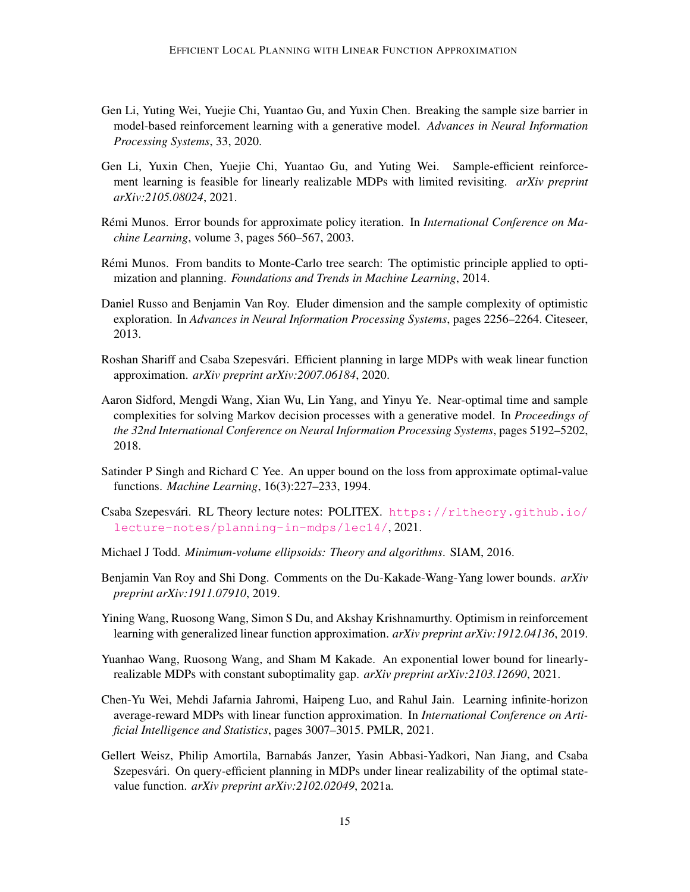- <span id="page-14-8"></span>Gen Li, Yuting Wei, Yuejie Chi, Yuantao Gu, and Yuxin Chen. Breaking the sample size barrier in model-based reinforcement learning with a generative model. *Advances in Neural Information Processing Systems*, 33, 2020.
- <span id="page-14-5"></span>Gen Li, Yuxin Chen, Yuejie Chi, Yuantao Gu, and Yuting Wei. Sample-efficient reinforcement learning is feasible for linearly realizable MDPs with limited revisiting. *arXiv preprint arXiv:2105.08024*, 2021.
- <span id="page-14-2"></span>Rémi Munos. Error bounds for approximate policy iteration. In *International Conference on Machine Learning*, volume 3, pages 560–567, 2003.
- <span id="page-14-10"></span>Remi Munos. From bandits to Monte-Carlo tree search: The optimistic principle applied to opti- ´ mization and planning. *Foundations and Trends in Machine Learning*, 2014.
- <span id="page-14-11"></span>Daniel Russo and Benjamin Van Roy. Eluder dimension and the sample complexity of optimistic exploration. In *Advances in Neural Information Processing Systems*, pages 2256–2264. Citeseer, 2013.
- <span id="page-14-4"></span>Roshan Shariff and Csaba Szepesvári. Efficient planning in large MDPs with weak linear function approximation. *arXiv preprint arXiv:2007.06184*, 2020.
- <span id="page-14-0"></span>Aaron Sidford, Mengdi Wang, Xian Wu, Lin Yang, and Yinyu Ye. Near-optimal time and sample complexities for solving Markov decision processes with a generative model. In *Proceedings of the 32nd International Conference on Neural Information Processing Systems*, pages 5192–5202, 2018.
- <span id="page-14-14"></span>Satinder P Singh and Richard C Yee. An upper bound on the loss from approximate optimal-value functions. *Machine Learning*, 16(3):227–233, 1994.
- <span id="page-14-13"></span>Csaba Szepesvári. RL Theory lecture notes: POLITEX. [https://rltheory.github.io/](https://rltheory.github.io/lecture-notes/planning-in-mdps/lec14/) [lecture-notes/planning-in-mdps/lec14/](https://rltheory.github.io/lecture-notes/planning-in-mdps/lec14/), 2021.
- <span id="page-14-1"></span>Michael J Todd. *Minimum-volume ellipsoids: Theory and algorithms*. SIAM, 2016.
- <span id="page-14-9"></span>Benjamin Van Roy and Shi Dong. Comments on the Du-Kakade-Wang-Yang lower bounds. *arXiv preprint arXiv:1911.07910*, 2019.
- <span id="page-14-12"></span>Yining Wang, Ruosong Wang, Simon S Du, and Akshay Krishnamurthy. Optimism in reinforcement learning with generalized linear function approximation. *arXiv preprint arXiv:1912.04136*, 2019.
- <span id="page-14-7"></span>Yuanhao Wang, Ruosong Wang, and Sham M Kakade. An exponential lower bound for linearlyrealizable MDPs with constant suboptimality gap. *arXiv preprint arXiv:2103.12690*, 2021.
- <span id="page-14-6"></span>Chen-Yu Wei, Mehdi Jafarnia Jahromi, Haipeng Luo, and Rahul Jain. Learning infinite-horizon average-reward MDPs with linear function approximation. In *International Conference on Artificial Intelligence and Statistics*, pages 3007–3015. PMLR, 2021.
- <span id="page-14-3"></span>Gellert Weisz, Philip Amortila, Barnabás Janzer, Yasin Abbasi-Yadkori, Nan Jiang, and Csaba Szepesvári. On query-efficient planning in MDPs under linear realizability of the optimal statevalue function. *arXiv preprint arXiv:2102.02049*, 2021a.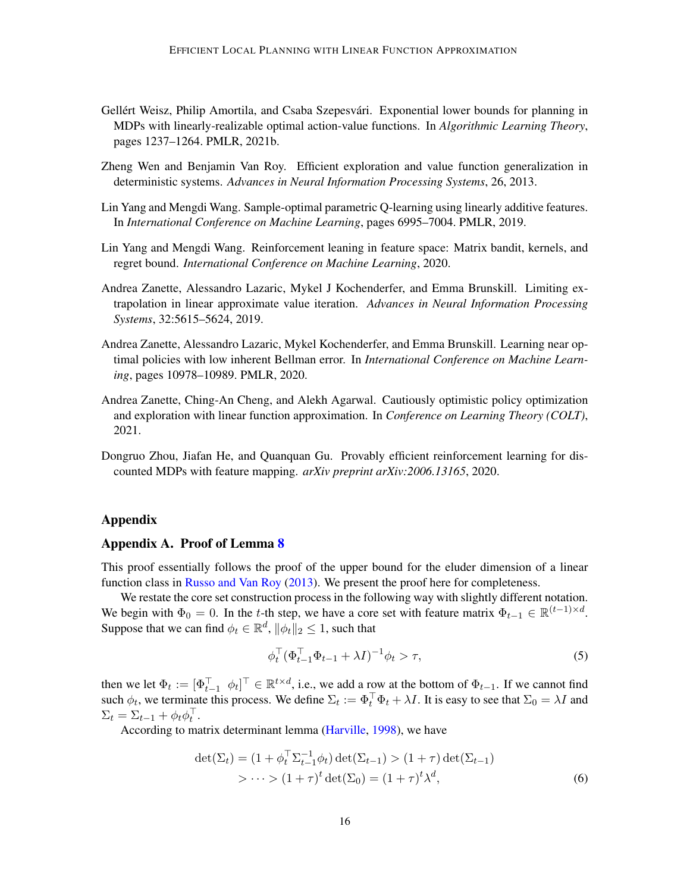- <span id="page-15-1"></span>Gellért Weisz, Philip Amortila, and Csaba Szepesvári. Exponential lower bounds for planning in MDPs with linearly-realizable optimal action-value functions. In *Algorithmic Learning Theory*, pages 1237–1264. PMLR, 2021b.
- <span id="page-15-5"></span>Zheng Wen and Benjamin Van Roy. Efficient exploration and value function generalization in deterministic systems. *Advances in Neural Information Processing Systems*, 26, 2013.
- <span id="page-15-0"></span>Lin Yang and Mengdi Wang. Sample-optimal parametric Q-learning using linearly additive features. In *International Conference on Machine Learning*, pages 6995–7004. PMLR, 2019.
- <span id="page-15-7"></span>Lin Yang and Mengdi Wang. Reinforcement leaning in feature space: Matrix bandit, kernels, and regret bound. *International Conference on Machine Learning*, 2020.
- <span id="page-15-4"></span>Andrea Zanette, Alessandro Lazaric, Mykel J Kochenderfer, and Emma Brunskill. Limiting extrapolation in linear approximate value iteration. *Advances in Neural Information Processing Systems*, 32:5615–5624, 2019.
- <span id="page-15-2"></span>Andrea Zanette, Alessandro Lazaric, Mykel Kochenderfer, and Emma Brunskill. Learning near optimal policies with low inherent Bellman error. In *International Conference on Machine Learning*, pages 10978–10989. PMLR, 2020.
- <span id="page-15-6"></span>Andrea Zanette, Ching-An Cheng, and Alekh Agarwal. Cautiously optimistic policy optimization and exploration with linear function approximation. In *Conference on Learning Theory (COLT)*, 2021.
- <span id="page-15-3"></span>Dongruo Zhou, Jiafan He, and Quanquan Gu. Provably efficient reinforcement learning for discounted MDPs with feature mapping. *arXiv preprint arXiv:2006.13165*, 2020.

### Appendix

#### <span id="page-15-8"></span>Appendix A. Proof of Lemma [8](#page-10-0)

This proof essentially follows the proof of the upper bound for the eluder dimension of a linear function class in [Russo and Van Roy](#page-14-11) [\(2013\)](#page-14-11). We present the proof here for completeness.

We restate the core set construction process in the following way with slightly different notation. We begin with  $\Phi_0 = 0$ . In the t-th step, we have a core set with feature matrix  $\Phi_{t-1} \in \mathbb{R}^{(t-1) \times d}$ . Suppose that we can find  $\phi_t \in \mathbb{R}^d$ ,  $\|\phi_t\|_2 \leq 1$ , such that

<span id="page-15-10"></span><span id="page-15-9"></span>
$$
\phi_t^\top (\Phi_{t-1}^\top \Phi_{t-1} + \lambda I)^{-1} \phi_t > \tau,
$$
\n<sup>(5)</sup>

then we let  $\Phi_t := [\Phi_{t-1}^\top \phi_t]^\top \in \mathbb{R}^{t \times d}$ , i.e., we add a row at the bottom of  $\Phi_{t-1}$ . If we cannot find such  $\phi_t$ , we terminate this process. We define  $\Sigma_t := \Phi_t^\top \Phi_t + \lambda I$ . It is easy to see that  $\Sigma_0 = \lambda I$  and  $\Sigma_t = \Sigma_{t-1} + \phi_t \phi_t^{\top}.$ 

According to matrix determinant lemma [\(Harville,](#page-13-14) [1998\)](#page-13-14), we have

$$
\det(\Sigma_t) = (1 + \phi_t^{\top} \Sigma_{t-1}^{-1} \phi_t) \det(\Sigma_{t-1}) > (1 + \tau) \det(\Sigma_{t-1})
$$
  
>  $\cdots > (1 + \tau)^t \det(\Sigma_0) = (1 + \tau)^t \lambda^d,$  (6)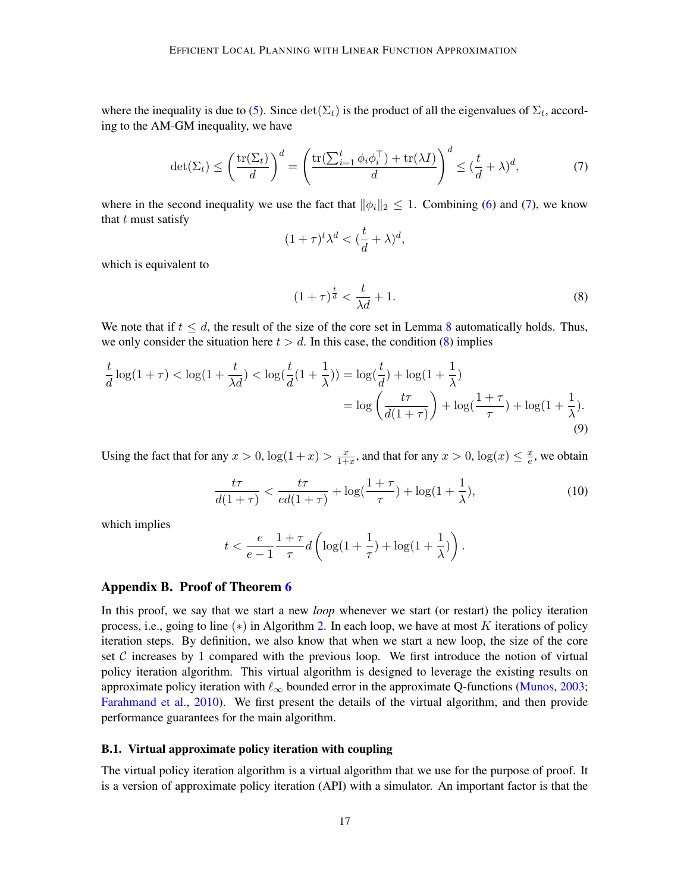where the inequality is due to [\(5\)](#page-15-9). Since  $\det(\Sigma_t)$  is the product of all the eigenvalues of  $\Sigma_t$ , according to the AM-GM inequality, we have

$$
\det(\Sigma_t) \le \left(\frac{\text{tr}(\Sigma_t)}{d}\right)^d = \left(\frac{\text{tr}(\sum_{i=1}^t \phi_i \phi_i^\top) + \text{tr}(\lambda I)}{d}\right)^d \le (\frac{t}{d} + \lambda)^d,\tag{7}
$$

where in the second inequality we use the fact that  $\|\phi_i\|_2 \leq 1$ . Combining [\(6\)](#page-15-10) and [\(7\)](#page-16-1), we know that  $t$  must satisfy

<span id="page-16-1"></span>
$$
(1+\tau)^t\lambda^d < (\frac{t}{d}+\lambda)^d,
$$

which is equivalent to

<span id="page-16-2"></span>
$$
(1+\tau)^{\frac{t}{d}} < \frac{t}{\lambda d} + 1. \tag{8}
$$

We note that if  $t \leq d$ , the result of the size of the core set in Lemma [8](#page-10-0) automatically holds. Thus, we only consider the situation here  $t > d$ . In this case, the condition [\(8\)](#page-16-2) implies

$$
\frac{t}{d} \log(1+\tau) < \log(1+\frac{t}{\lambda d}) < \log(\frac{t}{d}(1+\frac{1}{\lambda})) = \log(\frac{t}{d}) + \log(1+\frac{1}{\lambda}) \\
= \log\left(\frac{t\tau}{d(1+\tau)}\right) + \log(\frac{1+\tau}{\tau}) + \log(1+\frac{1}{\lambda}).\n\tag{9}
$$

Using the fact that for any  $x > 0$ ,  $\log(1+x) > \frac{x}{1+x}$  $\frac{x}{1+x}$ , and that for any  $x > 0$ ,  $\log(x) \leq \frac{x}{e}$  $\frac{x}{e}$ , we obtain

$$
\frac{t\tau}{d(1+\tau)} < \frac{t\tau}{ed(1+\tau)} + \log\left(\frac{1+\tau}{\tau}\right) + \log(1+\frac{1}{\lambda}),\tag{10}
$$

which implies

$$
t < \frac{e}{e-1} \frac{1+\tau}{\tau} d\left(\log(1+\frac{1}{\tau}) + \log(1+\frac{1}{\lambda})\right).
$$

#### <span id="page-16-0"></span>Appendix B. Proof of Theorem [6](#page-9-1)

In this proof, we say that we start a new *loop* whenever we start (or restart) the policy iteration process, i.e., going to line  $(*)$  in Algorithm [2.](#page-8-0) In each loop, we have at most K iterations of policy iteration steps. By definition, we also know that when we start a new loop, the size of the core set  $\mathcal C$  increases by 1 compared with the previous loop. We first introduce the notion of virtual policy iteration algorithm. This virtual algorithm is designed to leverage the existing results on approximate policy iteration with  $\ell_{\infty}$  bounded error in the approximate Q-functions [\(Munos,](#page-14-2) [2003;](#page-14-2) [Farahmand et al.,](#page-13-4) [2010\)](#page-13-4). We first present the details of the virtual algorithm, and then provide performance guarantees for the main algorithm.

### <span id="page-16-3"></span>B.1. Virtual approximate policy iteration with coupling

The virtual policy iteration algorithm is a virtual algorithm that we use for the purpose of proof. It is a version of approximate policy iteration (API) with a simulator. An important factor is that the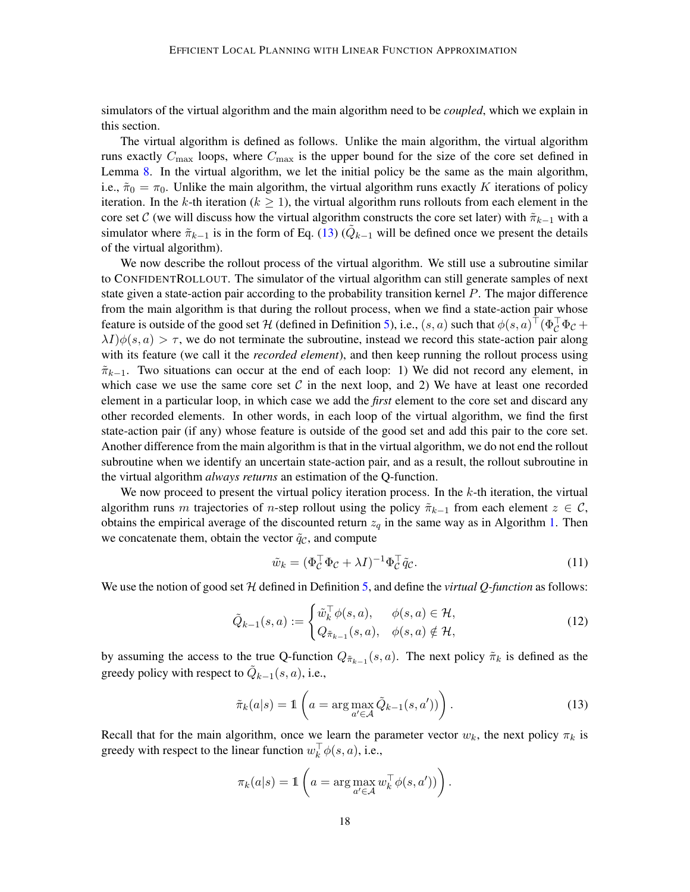simulators of the virtual algorithm and the main algorithm need to be *coupled*, which we explain in this section.

The virtual algorithm is defined as follows. Unlike the main algorithm, the virtual algorithm runs exactly  $C_{\text{max}}$  loops, where  $C_{\text{max}}$  is the upper bound for the size of the core set defined in Lemma [8.](#page-10-0) In the virtual algorithm, we let the initial policy be the same as the main algorithm, i.e.,  $\tilde{\pi}_0 = \pi_0$ . Unlike the main algorithm, the virtual algorithm runs exactly K iterations of policy iteration. In the k-th iteration ( $k \geq 1$ ), the virtual algorithm runs rollouts from each element in the core set C (we will discuss how the virtual algorithm constructs the core set later) with  $\tilde{\pi}_{k-1}$  with a simulator where  $\tilde{\pi}_{k-1}$  is in the form of Eq. [\(13\)](#page-17-0) ( $\tilde{Q}_{k-1}$  will be defined once we present the details of the virtual algorithm).

We now describe the rollout process of the virtual algorithm. We still use a subroutine similar to CONFIDENTROLLOUT. The simulator of the virtual algorithm can still generate samples of next state given a state-action pair according to the probability transition kernel P. The major difference from the main algorithm is that during the rollout process, when we find a state-action pair whose feature is outside of the good set  $H$  (defined in Definition [5\)](#page-6-0), i.e.,  $(s, a)$  such that  $\phi(s, a)^\top (\Phi_C^\top \Phi_C +$  $\lambda I/\phi(s, a) > \tau$ , we do not terminate the subroutine, instead we record this state-action pair along with its feature (we call it the *recorded element*), and then keep running the rollout process using  $\tilde{\pi}_{k-1}$ . Two situations can occur at the end of each loop: 1) We did not record any element, in which case we use the same core set C in the next loop, and 2) We have at least one recorded element in a particular loop, in which case we add the *first* element to the core set and discard any other recorded elements. In other words, in each loop of the virtual algorithm, we find the first state-action pair (if any) whose feature is outside of the good set and add this pair to the core set. Another difference from the main algorithm is that in the virtual algorithm, we do not end the rollout subroutine when we identify an uncertain state-action pair, and as a result, the rollout subroutine in the virtual algorithm *always returns* an estimation of the Q-function.

We now proceed to present the virtual policy iteration process. In the  $k$ -th iteration, the virtual algorithm runs m trajectories of n-step rollout using the policy  $\tilde{\pi}_{k-1}$  from each element  $z \in \mathcal{C}$ , obtains the empirical average of the discounted return  $z<sub>q</sub>$  in the same way as in Algorithm [1.](#page-7-0) Then we concatenate them, obtain the vector  $\tilde{q}_c$ , and compute

<span id="page-17-2"></span><span id="page-17-1"></span>
$$
\tilde{w}_k = (\Phi_C^{\top} \Phi_C + \lambda I)^{-1} \Phi_C^{\top} \tilde{q}_C.
$$
\n(11)

We use the notion of good set H defined in Definition [5,](#page-6-0) and define the *virtual Q-function* as follows:

$$
\tilde{Q}_{k-1}(s,a) := \begin{cases} \tilde{w}_k^\top \phi(s,a), & \phi(s,a) \in \mathcal{H}, \\ Q_{\tilde{\pi}_{k-1}}(s,a), & \phi(s,a) \notin \mathcal{H}, \end{cases}
$$
\n(12)

by assuming the access to the true Q-function  $Q_{\tilde{\pi}_{k-1}}(s, a)$ . The next policy  $\tilde{\pi}_k$  is defined as the greedy policy with respect to  $\tilde{Q}_{k-1}(s, a)$ , i.e.,

<span id="page-17-0"></span>
$$
\tilde{\pi}_k(a|s) = \mathbb{1}\left(a = \arg\max_{a' \in \mathcal{A}} \tilde{Q}_{k-1}(s, a'))\right). \tag{13}
$$

Recall that for the main algorithm, once we learn the parameter vector  $w_k$ , the next policy  $\pi_k$  is greedy with respect to the linear function  $w_k^{\top} \phi(s, a)$ , i.e.,

$$
\pi_k(a|s) = \mathbb{1}\left(a = \arg\max_{a' \in \mathcal{A}} w_k^{\top} \phi(s, a'))\right).
$$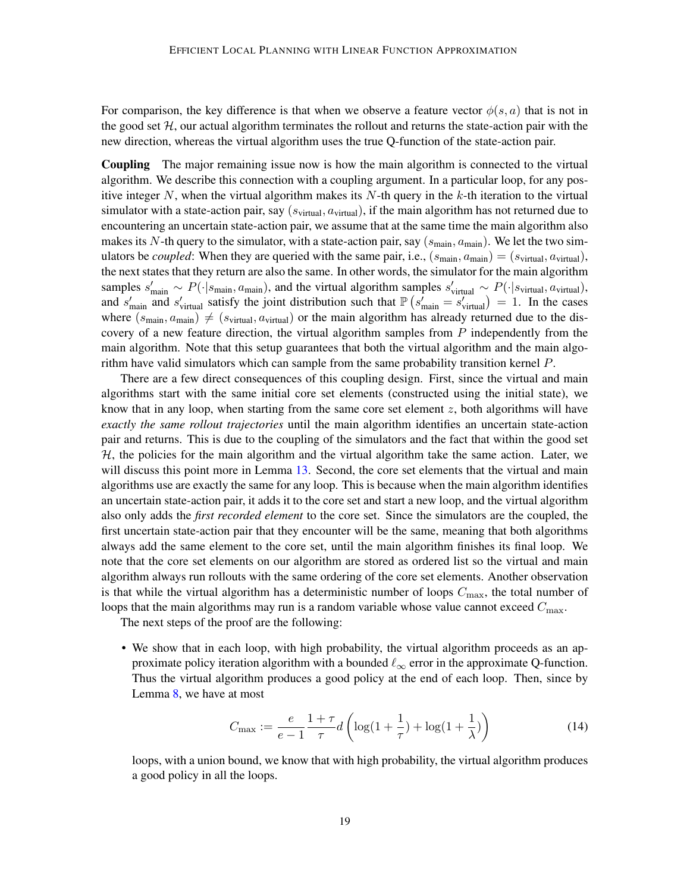For comparison, the key difference is that when we observe a feature vector  $\phi(s, a)$  that is not in the good set  $H$ , our actual algorithm terminates the rollout and returns the state-action pair with the new direction, whereas the virtual algorithm uses the true Q-function of the state-action pair.

Coupling The major remaining issue now is how the main algorithm is connected to the virtual algorithm. We describe this connection with a coupling argument. In a particular loop, for any positive integer N, when the virtual algorithm makes its N-th query in the k-th iteration to the virtual simulator with a state-action pair, say  $(s_{virtual}, a_{virtual})$ , if the main algorithm has not returned due to encountering an uncertain state-action pair, we assume that at the same time the main algorithm also makes its N-th query to the simulator, with a state-action pair, say  $(s_{\text{main}}, a_{\text{main}})$ . We let the two simulators be *coupled*: When they are queried with the same pair, i.e.,  $(s_{\text{main}}, a_{\text{main}}) = (s_{\text{virtual}}, a_{\text{virtual}})$ , the next states that they return are also the same. In other words, the simulator for the main algorithm samples  $s'_{\text{main}} \sim P(\cdot | s_{\text{main}}, a_{\text{main}})$ , and the virtual algorithm samples  $s'_{\text{virtual}} \sim P(\cdot | s_{\text{virtual}}, a_{\text{virtual}})$ , and  $s'_{\text{main}}$  and  $s'_{\text{virtual}}$  satisfy the joint distribution such that  $\mathbb{P}\left(s'_{\text{main}}=s'_{\text{virtual}}\right)=1$ . In the cases where  $(s_{\text{main}}, a_{\text{main}}) \neq (s_{\text{virtual}}, a_{\text{virtual}})$  or the main algorithm has already returned due to the discovery of a new feature direction, the virtual algorithm samples from  $P$  independently from the main algorithm. Note that this setup guarantees that both the virtual algorithm and the main algorithm have valid simulators which can sample from the same probability transition kernel P.

There are a few direct consequences of this coupling design. First, since the virtual and main algorithms start with the same initial core set elements (constructed using the initial state), we know that in any loop, when starting from the same core set element  $z$ , both algorithms will have *exactly the same rollout trajectories* until the main algorithm identifies an uncertain state-action pair and returns. This is due to the coupling of the simulators and the fact that within the good set  $H$ , the policies for the main algorithm and the virtual algorithm take the same action. Later, we will discuss this point more in Lemma [13.](#page-21-0) Second, the core set elements that the virtual and main algorithms use are exactly the same for any loop. This is because when the main algorithm identifies an uncertain state-action pair, it adds it to the core set and start a new loop, and the virtual algorithm also only adds the *first recorded element* to the core set. Since the simulators are the coupled, the first uncertain state-action pair that they encounter will be the same, meaning that both algorithms always add the same element to the core set, until the main algorithm finishes its final loop. We note that the core set elements on our algorithm are stored as ordered list so the virtual and main algorithm always run rollouts with the same ordering of the core set elements. Another observation is that while the virtual algorithm has a deterministic number of loops  $C_{\text{max}}$ , the total number of loops that the main algorithms may run is a random variable whose value cannot exceed  $C_{\text{max}}$ .

The next steps of the proof are the following:

• We show that in each loop, with high probability, the virtual algorithm proceeds as an approximate policy iteration algorithm with a bounded  $\ell_{\infty}$  error in the approximate Q-function. Thus the virtual algorithm produces a good policy at the end of each loop. Then, since by Lemma [8,](#page-10-0) we have at most

<span id="page-18-0"></span>
$$
C_{\max} := \frac{e}{e-1} \frac{1+\tau}{\tau} d\left(\log(1+\frac{1}{\tau}) + \log(1+\frac{1}{\lambda})\right)
$$
(14)

loops, with a union bound, we know that with high probability, the virtual algorithm produces a good policy in all the loops.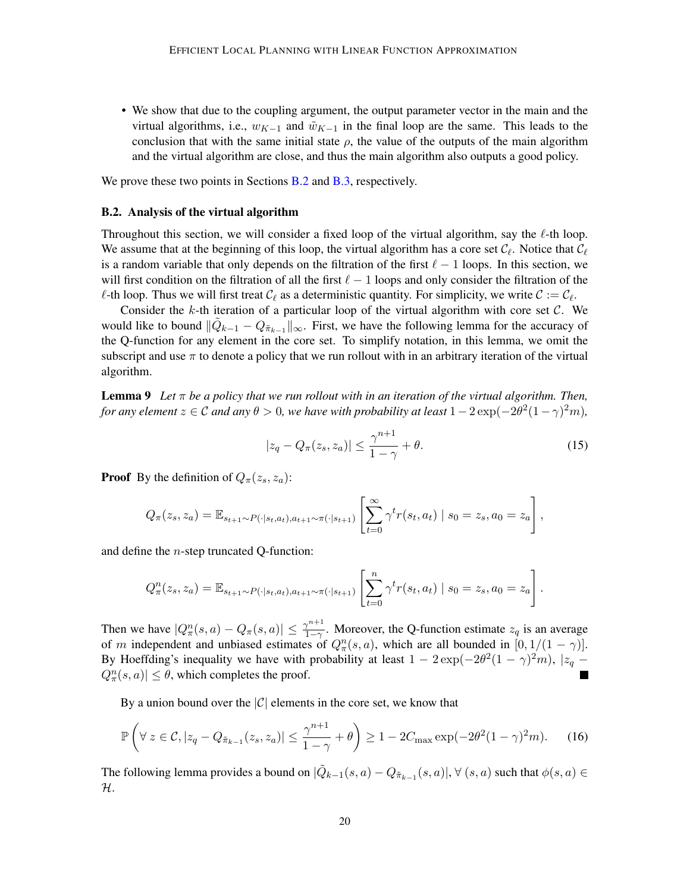• We show that due to the coupling argument, the output parameter vector in the main and the virtual algorithms, i.e.,  $w_{K-1}$  and  $\tilde{w}_{K-1}$  in the final loop are the same. This leads to the conclusion that with the same initial state  $\rho$ , the value of the outputs of the main algorithm and the virtual algorithm are close, and thus the main algorithm also outputs a good policy.

We prove these two points in Sections **[B.2](#page-19-0)** and **B.3**, respectively.

#### <span id="page-19-0"></span>B.2. Analysis of the virtual algorithm

Throughout this section, we will consider a fixed loop of the virtual algorithm, say the  $\ell$ -th loop. We assume that at the beginning of this loop, the virtual algorithm has a core set  $\mathcal{C}_\ell$ . Notice that  $\mathcal{C}_\ell$ is a random variable that only depends on the filtration of the first  $\ell - 1$  loops. In this section, we will first condition on the filtration of all the first  $\ell - 1$  loops and only consider the filtration of the  $\ell$ -th loop. Thus we will first treat  $\mathcal{C}_{\ell}$  as a deterministic quantity. For simplicity, we write  $\mathcal{C} := \mathcal{C}_{\ell}$ .

Consider the k-th iteration of a particular loop of the virtual algorithm with core set  $C$ . We would like to bound  $\|\tilde{Q}_{k-1} - Q_{\tilde{\pi}_{k-1}}\|_{\infty}$ . First, we have the following lemma for the accuracy of the Q-function for any element in the core set. To simplify notation, in this lemma, we omit the subscript and use  $\pi$  to denote a policy that we run rollout with in an arbitrary iteration of the virtual algorithm.

**Lemma 9** Let  $\pi$  be a policy that we run rollout with in an iteration of the virtual algorithm. Then, *for any element*  $z \in \mathcal{C}$  *and any*  $\theta > 0$ , we have with probability at least  $1 - 2 \exp(-2\theta^2(1 - \gamma)^2 m)$ ,

<span id="page-19-2"></span>
$$
|z_q - Q_\pi(z_s, z_a)| \le \frac{\gamma^{n+1}}{1 - \gamma} + \theta.
$$
\n(15)

**Proof** By the definition of  $Q_{\pi}(z_s, z_a)$ :

$$
Q_{\pi}(z_s, z_a) = \mathbb{E}_{s_{t+1} \sim P(\cdot | s_t, a_t), a_{t+1} \sim \pi(\cdot | s_{t+1})} \left[ \sum_{t=0}^{\infty} \gamma^t r(s_t, a_t) \mid s_0 = z_s, a_0 = z_a \right],
$$

and define the n-step truncated Q-function:

$$
Q_{\pi}^{n}(z_{s}, z_{a}) = \mathbb{E}_{s_{t+1} \sim P(\cdot | s_{t}, a_{t}), a_{t+1} \sim \pi(\cdot | s_{t+1})} \left[ \sum_{t=0}^{n} \gamma^{t} r(s_{t}, a_{t}) | s_{0} = z_{s}, a_{0} = z_{a} \right].
$$

Then we have  $|Q_{\pi}^n(s, a) - Q_{\pi}(s, a)| \leq \frac{\gamma^{n+1}}{1-\gamma}$  $\frac{\gamma^{n+1}}{1-\gamma}$ . Moreover, the Q-function estimate  $z_q$  is an average of m independent and unbiased estimates of  $Q_{\pi}^{n}(s, a)$ , which are all bounded in  $[0, 1/(1 - \gamma)]$ . By Hoeffding's inequality we have with probability at least  $1 - 2 \exp(-2\theta^2(1 - \gamma)^2 m)$ ,  $|z_q - z|$  $|Q_{\pi}^n(s,a)| \leq \theta$ , which completes the proof.

By a union bound over the  $|C|$  elements in the core set, we know that

$$
\mathbb{P}\left(\forall\ z \in \mathcal{C}, |z_q - Q_{\tilde{\pi}_{k-1}}(z_s, z_a)| \le \frac{\gamma^{n+1}}{1-\gamma} + \theta\right) \ge 1 - 2C_{\text{max}}\exp(-2\theta^2(1-\gamma)^2m). \tag{16}
$$

<span id="page-19-1"></span>The following lemma provides a bound on  $|\tilde{Q}_{k-1}(s, a) - Q_{\tilde{\pi}_{k-1}}(s, a)|, \forall (s, a)$  such that  $\phi(s, a) \in$ H.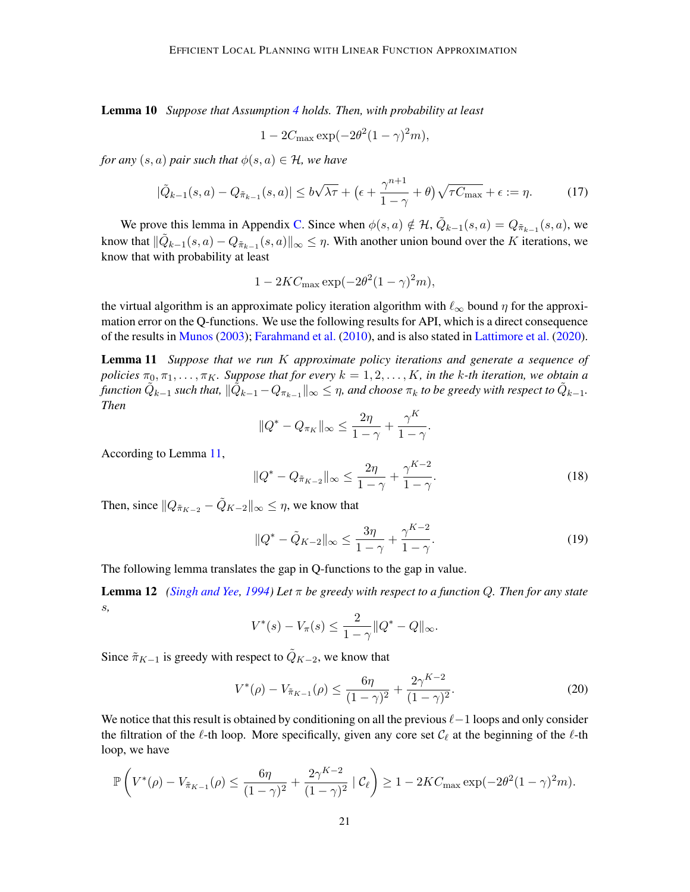Lemma 10 *Suppose that Assumption [4](#page-5-1) holds. Then, with probability at least*

$$
1 - 2C_{\text{max}} \exp(-2\theta^2 (1 - \gamma)^2 m),
$$

*for any*  $(s, a)$  *pair such that*  $\phi(s, a) \in \mathcal{H}$ *, we have* 

$$
|\tilde{Q}_{k-1}(s,a) - Q_{\tilde{\pi}_{k-1}}(s,a)| \le b\sqrt{\lambda\tau} + \left(\epsilon + \frac{\gamma^{n+1}}{1-\gamma} + \theta\right)\sqrt{\tau C_{\max}} + \epsilon := \eta. \tag{17}
$$

We prove this lemma in Appendix [C.](#page-23-0) Since when  $\phi(s, a) \notin \mathcal{H}$ ,  $\tilde{Q}_{k-1}(s, a) = Q_{\tilde{\pi}_{k-1}}(s, a)$ , we know that  $\|\tilde{Q}_{k-1}(s, a) - Q_{\tilde{\pi}_{k-1}}(s, a)\|_{\infty} \leq \eta$ . With another union bound over the K iterations, we know that with probability at least

$$
1 - 2KC_{\text{max}} \exp(-2\theta^2 (1 - \gamma)^2 m),
$$

the virtual algorithm is an approximate policy iteration algorithm with  $\ell_{\infty}$  bound  $\eta$  for the approximation error on the Q-functions. We use the following results for API, which is a direct consequence of the results in [Munos](#page-14-2) [\(2003\)](#page-14-2); [Farahmand et al.](#page-13-4) [\(2010\)](#page-13-4), and is also stated in [Lattimore et al.](#page-13-1) [\(2020\)](#page-13-1).

Lemma 11 *Suppose that we run* K *approximate policy iterations and generate a sequence of policies*  $\pi_0, \pi_1, \ldots, \pi_K$ . Suppose that for every  $k = 1, 2, \ldots, K$ , in the k-th iteration, we obtain a function  $\tilde{Q}_{k-1}$  such that,  $\|\tilde{Q}_{k-1} - Q_{\pi_{k-1}}\|_\infty \leq \eta$ , and choose  $\pi_k$  to be greedy with respect to  $\tilde{Q}_{k-1}.$ *Then*

$$
||Q^* - Q_{\pi_K}||_{\infty} \le \frac{2\eta}{1-\gamma} + \frac{\gamma^K}{1-\gamma}
$$

According to Lemma [11,](#page-20-0)

$$
||Q^* - Q_{\tilde{\pi}_{K-2}}||_{\infty} \le \frac{2\eta}{1-\gamma} + \frac{\gamma^{K-2}}{1-\gamma}.
$$
\n(18)

<span id="page-20-2"></span><span id="page-20-1"></span><span id="page-20-0"></span>.

Then, since  $||Q_{\tilde{\pi}_{K-2}} - \tilde{Q}_{K-2}||_{\infty} \leq \eta$ , we know that

$$
||Q^* - \tilde{Q}_{K-2}||_{\infty} \le \frac{3\eta}{1-\gamma} + \frac{\gamma^{K-2}}{1-\gamma}.
$$
 (19)

The following lemma translates the gap in Q-functions to the gap in value.

Lemma 12 *[\(Singh and Yee,](#page-14-14) [1994\)](#page-14-14) Let* π *be greedy with respect to a function* Q*. Then for any state* s*,*

$$
V^*(s) - V_{\pi}(s) \le \frac{2}{1 - \gamma} \|Q^* - Q\|_{\infty}.
$$

Since  $\tilde{\pi}_{K-1}$  is greedy with respect to  $\tilde{Q}_{K-2}$ , we know that

$$
V^*(\rho) - V_{\tilde{\pi}_{K-1}}(\rho) \le \frac{6\eta}{(1-\gamma)^2} + \frac{2\gamma^{K-2}}{(1-\gamma)^2}.
$$
 (20)

We notice that this result is obtained by conditioning on all the previous  $\ell-1$  loops and only consider the filtration of the  $\ell$ -th loop. More specifically, given any core set  $\mathcal{C}_{\ell}$  at the beginning of the  $\ell$ -th loop, we have

$$
\mathbb{P}\left(V^*(\rho) - V_{\tilde{\pi}_{K-1}}(\rho) \le \frac{6\eta}{(1-\gamma)^2} + \frac{2\gamma^{K-2}}{(1-\gamma)^2} \left| \right| \mathcal{C}_{\ell}\right) \ge 1 - 2KC_{\max} \exp(-2\theta^2 (1-\gamma)^2 m).
$$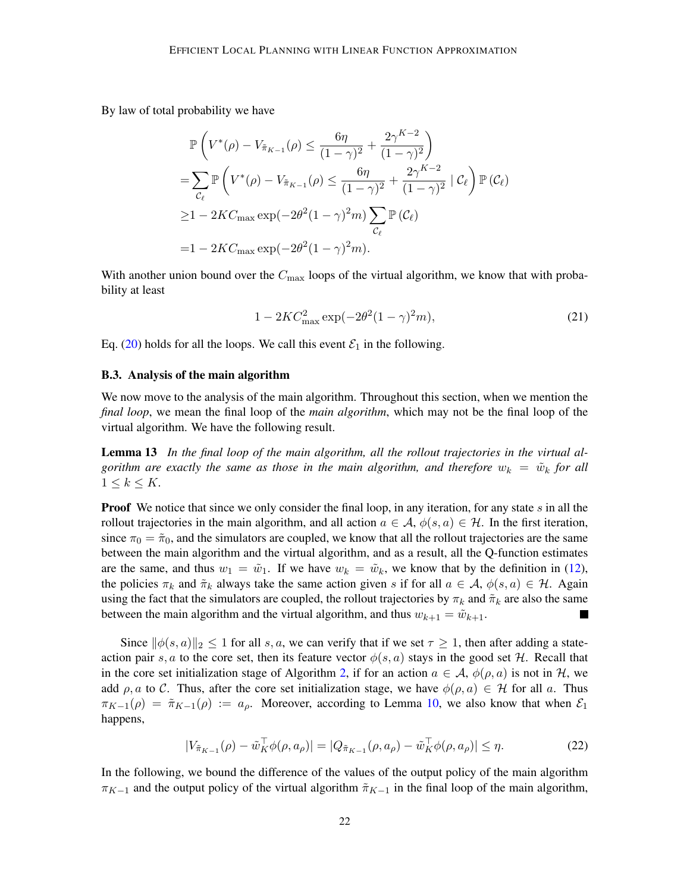By law of total probability we have

$$
\mathbb{P}\left(V^*(\rho) - V_{\tilde{\pi}_{K-1}}(\rho) \le \frac{6\eta}{(1-\gamma)^2} + \frac{2\gamma^{K-2}}{(1-\gamma)^2}\right)
$$
\n
$$
= \sum_{\mathcal{C}_{\ell}} \mathbb{P}\left(V^*(\rho) - V_{\tilde{\pi}_{K-1}}(\rho) \le \frac{6\eta}{(1-\gamma)^2} + \frac{2\gamma^{K-2}}{(1-\gamma)^2} \mid \mathcal{C}_{\ell}\right) \mathbb{P}\left(\mathcal{C}_{\ell}\right)
$$
\n
$$
\ge 1 - 2KC_{\text{max}} \exp(-2\theta^2 (1-\gamma)^2 m) \sum_{\mathcal{C}_{\ell}} \mathbb{P}\left(\mathcal{C}_{\ell}\right)
$$
\n
$$
= 1 - 2KC_{\text{max}} \exp(-2\theta^2 (1-\gamma)^2 m).
$$

With another union bound over the  $C_{\text{max}}$  loops of the virtual algorithm, we know that with probability at least

<span id="page-21-0"></span>
$$
1 - 2KC_{\text{max}}^2 \exp(-2\theta^2 (1 - \gamma)^2 m), \tag{21}
$$

Eq. [\(20\)](#page-20-1) holds for all the loops. We call this event  $\mathcal{E}_1$  in the following.

#### <span id="page-21-1"></span>B.3. Analysis of the main algorithm

We now move to the analysis of the main algorithm. Throughout this section, when we mention the *final loop*, we mean the final loop of the *main algorithm*, which may not be the final loop of the virtual algorithm. We have the following result.

Lemma 13 *In the final loop of the main algorithm, all the rollout trajectories in the virtual algorithm are exactly the same as those in the main algorithm, and therefore*  $w_k = \tilde{w}_k$  *for all*  $1 \leq k \leq K$ .

**Proof** We notice that since we only consider the final loop, in any iteration, for any state s in all the rollout trajectories in the main algorithm, and all action  $a \in \mathcal{A}$ ,  $\phi(s, a) \in \mathcal{H}$ . In the first iteration, since  $\pi_0 = \tilde{\pi}_0$ , and the simulators are coupled, we know that all the rollout trajectories are the same between the main algorithm and the virtual algorithm, and as a result, all the Q-function estimates are the same, and thus  $w_1 = \tilde{w}_1$ . If we have  $w_k = \tilde{w}_k$ , we know that by the definition in [\(12\)](#page-17-1), the policies  $\pi_k$  and  $\tilde{\pi}_k$  always take the same action given s if for all  $a \in A$ ,  $\phi(s, a) \in \mathcal{H}$ . Again using the fact that the simulators are coupled, the rollout trajectories by  $\pi_k$  and  $\tilde{\pi}_k$  are also the same between the main algorithm and the virtual algorithm, and thus  $w_{k+1} = \tilde{w}_{k+1}$ . L.

Since  $\|\phi(s, a)\|_2 \leq 1$  for all s, a, we can verify that if we set  $\tau \geq 1$ , then after adding a stateaction pair s, a to the core set, then its feature vector  $\phi(s, a)$  stays in the good set H. Recall that in the core set initialization stage of Algorithm [2,](#page-8-0) if for an action  $a \in \mathcal{A}$ ,  $\phi(\rho, a)$  is not in H, we add  $\rho, a$  to C. Thus, after the core set initialization stage, we have  $\phi(\rho, a) \in \mathcal{H}$  for all a. Thus  $\pi_{K-1}(\rho) = \tilde{\pi}_{K-1}(\rho) := a_{\rho}$ . Moreover, according to Lemma [10,](#page-19-1) we also know that when  $\mathcal{E}_1$ happens,

<span id="page-21-2"></span>
$$
|V_{\tilde{\pi}_{K-1}}(\rho) - \tilde{w}_K^{\top} \phi(\rho, a_{\rho})| = |Q_{\tilde{\pi}_{K-1}}(\rho, a_{\rho}) - \tilde{w}_K^{\top} \phi(\rho, a_{\rho})| \leq \eta.
$$
 (22)

In the following, we bound the difference of the values of the output policy of the main algorithm  $\pi_{K-1}$  and the output policy of the virtual algorithm  $\tilde{\pi}_{K-1}$  in the final loop of the main algorithm,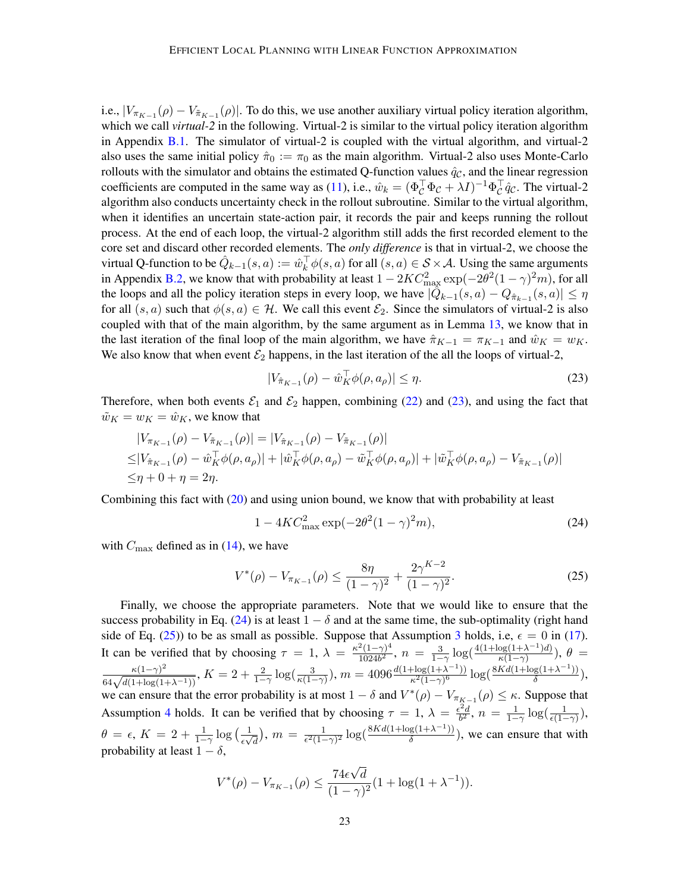i.e.,  $|V_{\pi_{K-1}}(\rho) - V_{\pi_{K-1}}(\rho)|$ . To do this, we use another auxiliary virtual policy iteration algorithm, which we call *virtual-2* in the following. Virtual-2 is similar to the virtual policy iteration algorithm in Appendix [B.1.](#page-16-3) The simulator of virtual-2 is coupled with the virtual algorithm, and virtual-2 also uses the same initial policy  $\hat{\pi}_0 := \pi_0$  as the main algorithm. Virtual-2 also uses Monte-Carlo rollouts with the simulator and obtains the estimated Q-function values  $\hat{q}_C$ , and the linear regression coefficients are computed in the same way as [\(11\)](#page-17-2), i.e.,  $\hat{w}_k = (\Phi_C^{\top} \Phi_C + \lambda I)^{-1} \Phi_C^{\top} \hat{q}_C$ . The virtual-2 algorithm also conducts uncertainty check in the rollout subroutine. Similar to the virtual algorithm, when it identifies an uncertain state-action pair, it records the pair and keeps running the rollout process. At the end of each loop, the virtual-2 algorithm still adds the first recorded element to the core set and discard other recorded elements. The *only difference* is that in virtual-2, we choose the virtual Q-function to be  $\hat{Q}_{k-1}(s, a) := \hat{w}_k^{\top} \phi(s, a)$  for all  $(s, a) \in S \times A$ . Using the same arguments in Appendix [B.2,](#page-19-0) we know that with probability at least  $1 - 2KC_{\text{max}}^2 \exp(-2\theta^2(1-\gamma)^2m)$ , for all the loops and all the policy iteration steps in every loop, we have  $|\hat{Q}_{k-1}(s, a) - Q_{\hat{\pi}_{k-1}}(s, a)| \leq \eta$ for all  $(s, a)$  such that  $\phi(s, a) \in \mathcal{H}$ . We call this event  $\mathcal{E}_2$ . Since the simulators of virtual-2 is also coupled with that of the main algorithm, by the same argument as in Lemma [13,](#page-21-0) we know that in the last iteration of the final loop of the main algorithm, we have  $\hat{\pi}_{K-1} = \pi_{K-1}$  and  $\hat{w}_K = w_K$ . We also know that when event  $\mathcal{E}_2$  happens, in the last iteration of the all the loops of virtual-2,

<span id="page-22-0"></span>
$$
|V_{\hat{\pi}_{K-1}}(\rho) - \hat{w}_K^{\top} \phi(\rho, a_{\rho})| \le \eta.
$$
\n
$$
(23)
$$

Therefore, when both events  $\mathcal{E}_1$  and  $\mathcal{E}_2$  happen, combining [\(22\)](#page-21-2) and [\(23\)](#page-22-0), and using the fact that  $\tilde{w}_K = w_K = \hat{w}_K$ , we know that

$$
|V_{\pi_{K-1}}(\rho) - V_{\tilde{\pi}_{K-1}}(\rho)| = |V_{\tilde{\pi}_{K-1}}(\rho) - V_{\tilde{\pi}_{K-1}}(\rho)|
$$
  
\n
$$
\leq |V_{\hat{\pi}_{K-1}}(\rho) - \hat{w}_K^{\top} \phi(\rho, a_{\rho})| + |\hat{w}_K^{\top} \phi(\rho, a_{\rho}) - \tilde{w}_K^{\top} \phi(\rho, a_{\rho})| + |\tilde{w}_K^{\top} \phi(\rho, a_{\rho}) - V_{\tilde{\pi}_{K-1}}(\rho)|
$$
  
\n
$$
\leq \eta + 0 + \eta = 2\eta.
$$

Combining this fact with [\(20\)](#page-20-1) and using union bound, we know that with probability at least

<span id="page-22-2"></span><span id="page-22-1"></span>
$$
1 - 4KC_{\text{max}}^2 \exp(-2\theta^2 (1 - \gamma)^2 m),\tag{24}
$$

with  $C_{\text{max}}$  defined as in [\(14\)](#page-18-0), we have

$$
V^*(\rho) - V_{\pi_{K-1}}(\rho) \le \frac{8\eta}{(1-\gamma)^2} + \frac{2\gamma^{K-2}}{(1-\gamma)^2}.
$$
 (25)

Finally, we choose the appropriate parameters. Note that we would like to ensure that the success probability in Eq. [\(24\)](#page-22-1) is at least  $1 - \delta$  and at the same time, the sub-optimality (right hand side of Eq. [\(25\)](#page-22-2)) to be as small as possible. Suppose that Assumption [3](#page-5-0) holds, i.e,  $\epsilon = 0$  in [\(17\)](#page-20-2). It can be verified that by choosing  $\tau = 1$ ,  $\lambda = \frac{\kappa^2 (1 - \gamma)^4}{1024\hbar^2}$  $\frac{12(1-\gamma)^4}{1024b^2}$ ,  $n = \frac{3}{1-\gamma} \log(\frac{4(1+\log(1+\lambda^{-1})d)}{\kappa(1-\gamma)})$  $\frac{\log(1+\lambda^{-1})a)}{\kappa(1-\gamma)}$ ),  $\theta =$  $\frac{\kappa(1-\gamma)^2}{64\sqrt{d(1+\log(1+\lambda^{-1}))}}, K = 2+\frac{2}{1-\gamma}\log(\frac{3}{\kappa(1-\gamma)}), m = 4096\frac{d(1+\log(1+\lambda^{-1}))}{\kappa^2(1-\gamma)^6}$  $\frac{\log(1+\lambda^{-1})}{\kappa^2(1-\gamma)^6} \log(\frac{8Kd(1+\log(1+\lambda^{-1}))}{\delta})$  $\frac{18(1+\lambda^{-1})}{\delta}$ ), we can ensure that the error probability is at most  $1 - \delta$  and  $V^*(\rho) - V_{\pi_{K-1}}(\rho) \leq \kappa$ . Suppose that Assumption [4](#page-5-1) holds. It can be verified that by choosing  $\tau = 1$ ,  $\lambda = \frac{\epsilon^2 d}{h^2}$  $\frac{e^{2}d}{b^{2}}, n = \frac{1}{1-\gamma}\log(\frac{1}{\epsilon(1-\gamma)}),$  $\theta = \epsilon, K = 2 + \frac{1}{1-\gamma} \log \left( \frac{1}{\epsilon \sqrt{2\pi}} \right)$  $\frac{1}{\epsilon\sqrt{d}}$ ),  $m = \frac{1}{\epsilon^2(1-\epsilon)}$  $\frac{1}{\epsilon^2(1-\gamma)^2} \log(\frac{8Kd(1+\log(1+\lambda^{-1}))}{\delta})$  $\frac{g(1+\lambda^{-1})}{\delta}$ , we can ensure that with probability at least  $1 - \delta$ , √

$$
V^*(\rho) - V_{\pi_{K-1}}(\rho) \le \frac{74\epsilon\sqrt{d}}{(1-\gamma)^2} (1 + \log(1+\lambda^{-1})).
$$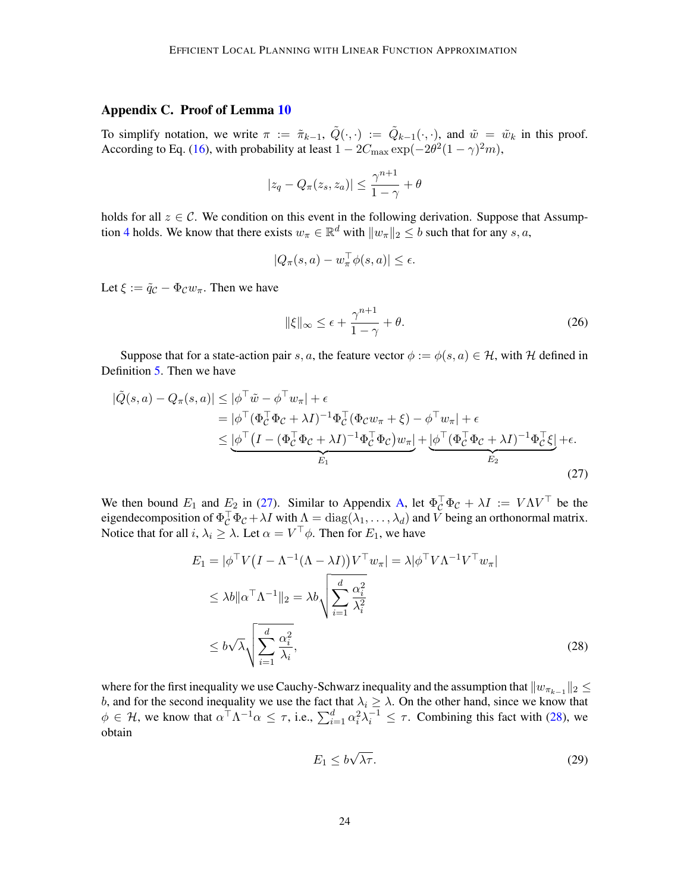# <span id="page-23-0"></span>Appendix C. Proof of Lemma [10](#page-19-1)

To simplify notation, we write  $\pi := \tilde{\pi}_{k-1}, \tilde{Q}(\cdot, \cdot) := \tilde{Q}_{k-1}(\cdot, \cdot)$ , and  $\tilde{w} = \tilde{w}_k$  in this proof. According to Eq. [\(16\)](#page-19-2), with probability at least  $1 - 2C_{\text{max}} \exp(-2\theta^2(1-\gamma)^2m)$ ,

$$
|z_q - Q_\pi(z_s, z_a)| \le \frac{\gamma^{n+1}}{1 - \gamma} + \theta
$$

holds for all  $z \in \mathcal{C}$ . We condition on this event in the following derivation. Suppose that Assump-tion [4](#page-5-1) holds. We know that there exists  $w_{\pi} \in \mathbb{R}^d$  with  $||w_{\pi}||_2 \leq b$  such that for any s, a,

$$
|Q_{\pi}(s, a) - w_{\pi}^{\top} \phi(s, a)| \le \epsilon.
$$

Let  $\xi := \tilde{q}_C - \Phi_C w_\pi$ . Then we have

<span id="page-23-3"></span><span id="page-23-1"></span>
$$
\|\xi\|_{\infty} \leq \epsilon + \frac{\gamma^{n+1}}{1-\gamma} + \theta. \tag{26}
$$

Suppose that for a state-action pair s, a, the feature vector  $\phi := \phi(s, a) \in \mathcal{H}$ , with H defined in Definition [5.](#page-6-0) Then we have

$$
|\tilde{Q}(s,a) - Q_{\pi}(s,a)| \leq |\phi^{\top}\tilde{w} - \phi^{\top}w_{\pi}| + \epsilon
$$
  
\n
$$
= |\phi^{\top}(\Phi_{C}^{\top}\Phi_{C} + \lambda I)^{-1}\Phi_{C}^{\top}(\Phi_{C}w_{\pi} + \xi) - \phi^{\top}w_{\pi}| + \epsilon
$$
  
\n
$$
\leq |\phi^{\top}(I - (\Phi_{C}^{\top}\Phi_{C} + \lambda I)^{-1}\Phi_{C}^{\top}\Phi_{C})w_{\pi}| + |\phi^{\top}(\Phi_{C}^{\top}\Phi_{C} + \lambda I)^{-1}\Phi_{C}^{\top}\xi| + \epsilon.
$$
  
\n
$$
E_{1}
$$
\n(27)

We then bound  $E_1$  and  $E_2$  in [\(27\)](#page-23-1). Similar to Appendix [A,](#page-15-8) let  $\Phi_C^{\top} \Phi_C + \lambda I := V \Lambda V^{\top}$  be the eigendecomposition of  $\Phi_C^{\top} \Phi_C + \lambda I$  with  $\Lambda = \text{diag}(\lambda_1, \dots, \lambda_d)$  and V being an orthonormal matrix. Notice that for all  $i, \lambda_i \geq \lambda$ . Let  $\alpha = V^\top \phi$ . Then for  $E_1$ , we have

$$
E_1 = |\phi^\top V (I - \Lambda^{-1} (\Lambda - \lambda I)) V^\top w_\pi| = \lambda |\phi^\top V \Lambda^{-1} V^\top w_\pi|
$$
  
\n
$$
\leq \lambda b ||\alpha^\top \Lambda^{-1}||_2 = \lambda b \sqrt{\sum_{i=1}^d \frac{\alpha_i^2}{\lambda_i^2}}
$$
  
\n
$$
\leq b \sqrt{\lambda} \sqrt{\sum_{i=1}^d \frac{\alpha_i^2}{\lambda_i}},
$$
\n(28)

where for the first inequality we use Cauchy-Schwarz inequality and the assumption that  $\|w_{\pi_{k-1}}\|_2 \leq$ b, and for the second inequality we use the fact that  $\lambda_i \geq \lambda$ . On the other hand, since we know that  $\phi \in \mathcal{H}$ , we know that  $\alpha^{\top} \Lambda^{-1} \alpha \leq \tau$ , i.e.,  $\sum_{i=1}^{d} \alpha_i^2 \lambda_i^{-1} \leq \tau$ . Combining this fact with [\(28\)](#page-23-2), we obtain

<span id="page-23-4"></span><span id="page-23-2"></span>
$$
E_1 \le b\sqrt{\lambda \tau}.\tag{29}
$$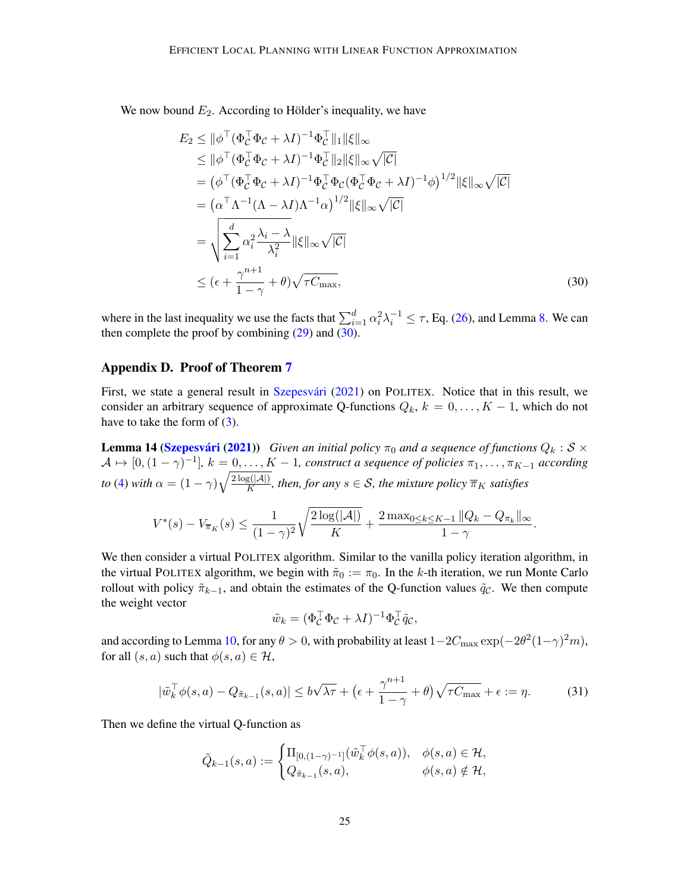We now bound  $E_2$ . According to Hölder's inequality, we have

<span id="page-24-1"></span>
$$
E_2 \le ||\phi^\top (\Phi_C^\top \Phi_C + \lambda I)^{-1} \Phi_C^\top ||_1 ||\xi||_\infty
$$
  
\n
$$
\le ||\phi^\top (\Phi_C^\top \Phi_C + \lambda I)^{-1} \Phi_C^\top ||_2 ||\xi||_\infty \sqrt{|C|}
$$
  
\n
$$
= (\phi^\top (\Phi_C^\top \Phi_C + \lambda I)^{-1} \Phi_C^\top \Phi_C (\Phi_C^\top \Phi_C + \lambda I)^{-1} \phi)^{1/2} ||\xi||_\infty \sqrt{|C|}
$$
  
\n
$$
= (\alpha^\top \Lambda^{-1} (\Lambda - \lambda I) \Lambda^{-1} \alpha)^{1/2} ||\xi||_\infty \sqrt{|C|}
$$
  
\n
$$
= \sqrt{\sum_{i=1}^d \alpha_i^2 \frac{\lambda_i - \lambda}{\lambda_i^2}} ||\xi||_\infty \sqrt{|C|}
$$
  
\n
$$
\le (\epsilon + \frac{\gamma^{n+1}}{1 - \gamma} + \theta) \sqrt{\tau C_{\text{max}}},
$$
\n(30)

where in the last inequality we use the facts that  $\sum_{i=1}^d \alpha_i^2 \lambda_i^{-1} \leq \tau$ , Eq. [\(26\)](#page-23-3), and Lemma [8.](#page-10-0) We can then complete the proof by combining  $(29)$  and  $(30)$ .

### <span id="page-24-0"></span>Appendix D. Proof of Theorem [7](#page-9-2)

First, we state a general result in Szepesvári [\(2021\)](#page-14-13) on POLITEX. Notice that in this result, we consider an arbitrary sequence of approximate Q-functions  $Q_k$ ,  $k = 0, \ldots, K - 1$ , which do not have to take the form of  $(3)$ .

**Lemma 14 (Szepesvári [\(2021\)](#page-14-13))** *Given an initial policy*  $\pi_0$  *and a sequence of functions*  $Q_k : S \times$  $\mathcal{A} \mapsto [0,(1-\gamma)^{-1}], k = 0,\ldots,K-1$ , construct a sequence of policies  $\pi_1,\ldots,\pi_{K-1}$  according *to* [\(4\)](#page-8-2) *with*  $\alpha = (1 - \gamma)\sqrt{\frac{2 \log(|\mathcal{A}|)}{K}}$  $\frac{g(|\mathcal{A}|)}{K}$ *, then, for any*  $s \in \mathcal{S}$ *, the mixture policy*  $\overline{\pi}_K$  *satisfies* 

<span id="page-24-2"></span>
$$
V^*(s) - V_{\overline{\pi}_K}(s) \le \frac{1}{(1 - \gamma)^2} \sqrt{\frac{2 \log(|\mathcal{A}|)}{K}} + \frac{2 \max_{0 \le k \le K-1} ||Q_k - Q_{\pi_k}||_{\infty}}{1 - \gamma}.
$$

We then consider a virtual POLITEX algorithm. Similar to the vanilla policy iteration algorithm, in the virtual POLITEX algorithm, we begin with  $\tilde{\pi}_0 := \pi_0$ . In the k-th iteration, we run Monte Carlo rollout with policy  $\tilde{\pi}_{k-1}$ , and obtain the estimates of the Q-function values  $\tilde{q}_C$ . We then compute the weight vector

<span id="page-24-3"></span>
$$
\tilde{w}_k = (\Phi_{\mathcal{C}}^\top \Phi_{\mathcal{C}} + \lambda I)^{-1} \Phi_{\mathcal{C}}^\top \tilde{q}_{\mathcal{C}},
$$

and according to Lemma [10,](#page-19-1) for any  $\theta > 0$ , with probability at least  $1-2C_{\max}\exp(-2\theta^2(1-\gamma)^2m)$ , for all  $(s, a)$  such that  $\phi(s, a) \in \mathcal{H}$ ,

$$
|\tilde{w}_k^{\top} \phi(s, a) - Q_{\tilde{\pi}_{k-1}}(s, a)| \le b\sqrt{\lambda \tau} + \left(\epsilon + \frac{\gamma^{n+1}}{1 - \gamma} + \theta\right)\sqrt{\tau C_{\max}} + \epsilon := \eta.
$$
 (31)

Then we define the virtual Q-function as

$$
\tilde{Q}_{k-1}(s,a) := \begin{cases} \Pi_{[0,(1-\gamma)^{-1}]}(\tilde{w}_k^{\top} \phi(s,a)), & \phi(s,a) \in \mathcal{H}, \\ Q_{\tilde{\pi}_{k-1}}(s,a), & \phi(s,a) \notin \mathcal{H}, \end{cases}
$$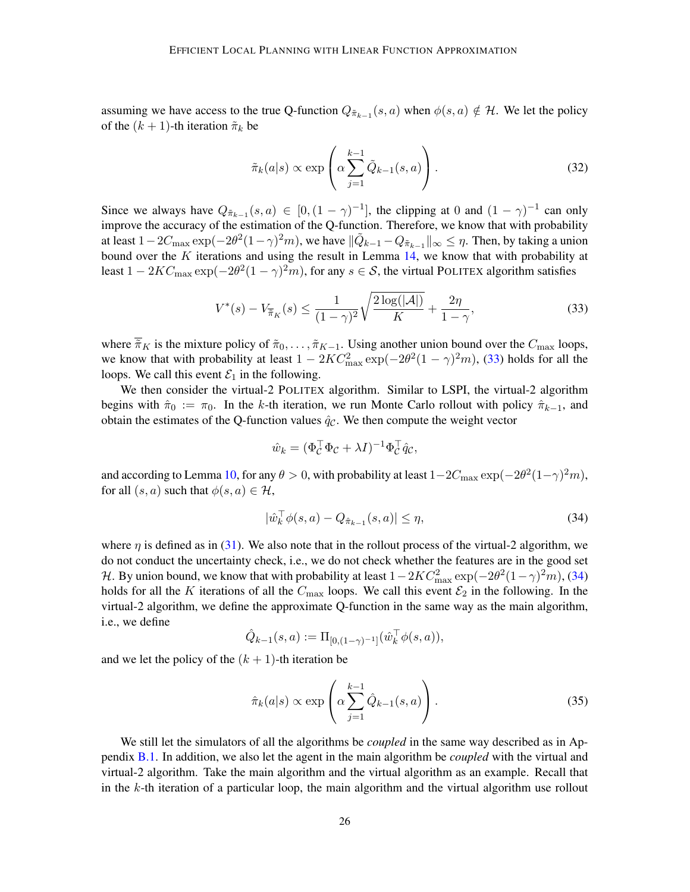assuming we have access to the true Q-function  $Q_{\tilde{\pi}_{k-1}}(s, a)$  when  $\phi(s, a) \notin \mathcal{H}$ . We let the policy of the  $(k + 1)$ -th iteration  $\tilde{\pi}_k$  be

$$
\tilde{\pi}_k(a|s) \propto \exp\left(\alpha \sum_{j=1}^{k-1} \tilde{Q}_{k-1}(s, a)\right).
$$
 (32)

Since we always have  $Q_{\tilde{\pi}_{k-1}}(s, a) \in [0, (1 - \gamma)^{-1}]$ , the clipping at 0 and  $(1 - \gamma)^{-1}$  can only improve the accuracy of the estimation of the Q-function. Therefore, we know that with probability at least  $1-2C_{\max}\exp(-2\theta^2(1-\gamma)^2m)$ , we have  $\|\tilde{Q}_{k-1}-Q_{\tilde{\pi}_{k-1}}\|_{\infty}\leq \eta$ . Then, by taking a union bound over the  $K$  iterations and using the result in Lemma  $14$ , we know that with probability at least  $1 - 2KC_{\text{max}} \exp(-2\theta^2(1-\gamma)^2m)$ , for any  $s \in \mathcal{S}$ , the virtual POLITEX algorithm satisfies

$$
V^*(s) - V_{\tilde{\pi}_K}(s) \le \frac{1}{(1-\gamma)^2} \sqrt{\frac{2\log(|\mathcal{A}|)}{K}} + \frac{2\eta}{1-\gamma},\tag{33}
$$

where  $\overline{\pi}_K$  is the mixture policy of  $\tilde{\pi}_0, \ldots, \tilde{\pi}_{K-1}$ . Using another union bound over the  $C_{\text{max}}$  loops, we know that with probability at least  $1 - 2KC_{\text{max}}^2 \exp(-2\theta^2(1-\gamma)^2m)$ , [\(33\)](#page-25-0) holds for all the loops. We call this event  $\mathcal{E}_1$  in the following.

We then consider the virtual-2 POLITEX algorithm. Similar to LSPI, the virtual-2 algorithm begins with  $\hat{\pi}_0 := \pi_0$ . In the k-th iteration, we run Monte Carlo rollout with policy  $\hat{\pi}_{k-1}$ , and obtain the estimates of the Q-function values  $\hat{q}_c$ . We then compute the weight vector

<span id="page-25-0"></span>
$$
\hat{w}_k = (\Phi_{\mathcal{C}}^\top \Phi_{\mathcal{C}} + \lambda I)^{-1} \Phi_{\mathcal{C}}^\top \hat{q}_{\mathcal{C}},
$$

and according to Lemma [10,](#page-19-1) for any  $\theta > 0$ , with probability at least  $1-2C_{\max}\exp(-2\theta^2(1-\gamma)^2m)$ , for all  $(s, a)$  such that  $\phi(s, a) \in \mathcal{H}$ ,

<span id="page-25-1"></span>
$$
|\hat{w}_k^\top \phi(s, a) - Q_{\hat{\pi}_{k-1}}(s, a)| \le \eta,\tag{34}
$$

where  $\eta$  is defined as in [\(31\)](#page-24-3). We also note that in the rollout process of the virtual-2 algorithm, we do not conduct the uncertainty check, i.e., we do not check whether the features are in the good set H. By union bound, we know that with probability at least  $1 - 2KC_{\text{max}}^2 \exp(-2\theta^2(1-\gamma)^2m)$ , [\(34\)](#page-25-1) holds for all the K iterations of all the  $C_{\text{max}}$  loops. We call this event  $\mathcal{E}_2$  in the following. In the virtual-2 algorithm, we define the approximate Q-function in the same way as the main algorithm, i.e., we define

$$
\hat{Q}_{k-1}(s,a) := \Pi_{[0,(1-\gamma)^{-1}]}(\hat{w}_k^\top \phi(s,a)),
$$

and we let the policy of the  $(k + 1)$ -th iteration be

$$
\hat{\pi}_k(a|s) \propto \exp\left(\alpha \sum_{j=1}^{k-1} \hat{Q}_{k-1}(s, a)\right).
$$
 (35)

We still let the simulators of all the algorithms be *coupled* in the same way described as in Appendix [B.1.](#page-16-3) In addition, we also let the agent in the main algorithm be *coupled* with the virtual and virtual-2 algorithm. Take the main algorithm and the virtual algorithm as an example. Recall that in the k-th iteration of a particular loop, the main algorithm and the virtual algorithm use rollout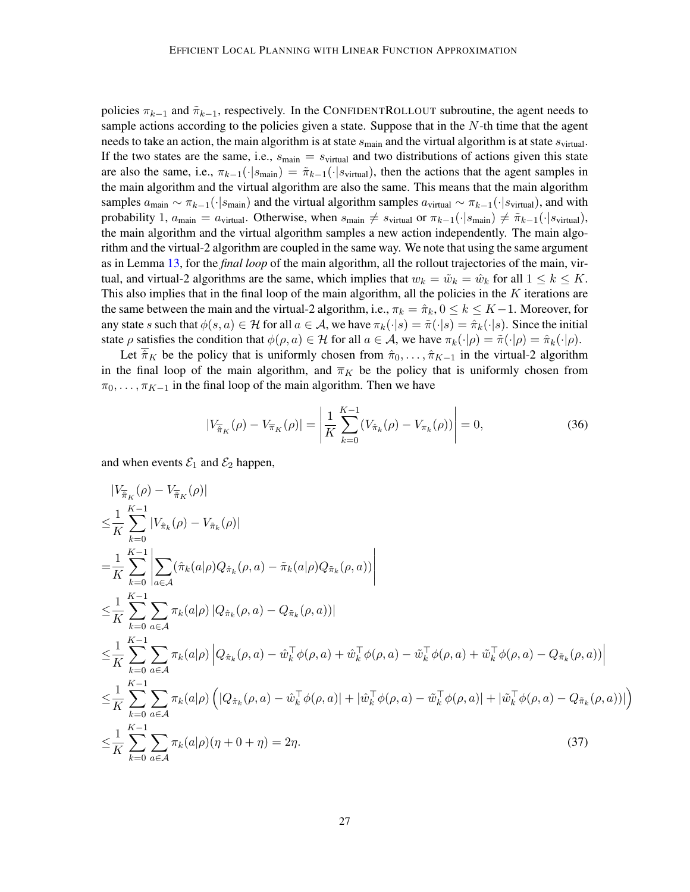policies  $\pi_{k-1}$  and  $\tilde{\pi}_{k-1}$ , respectively. In the CONFIDENTROLLOUT subroutine, the agent needs to sample actions according to the policies given a state. Suppose that in the N-th time that the agent needs to take an action, the main algorithm is at state  $s_{\text{main}}$  and the virtual algorithm is at state  $s_{\text{virtual}}$ . If the two states are the same, i.e.,  $s_{\text{main}} = s_{\text{virtual}}$  and two distributions of actions given this state are also the same, i.e.,  $\pi_{k-1}(\cdot|s_{\text{main}}) = \tilde{\pi}_{k-1}(\cdot|s_{\text{virtual}})$ , then the actions that the agent samples in the main algorithm and the virtual algorithm are also the same. This means that the main algorithm samples  $a_{\text{main}} \sim \pi_{k-1}(\cdot|s_{\text{main}})$  and the virtual algorithm samples  $a_{\text{virtual}} \sim \pi_{k-1}(\cdot|s_{\text{virtual}})$ , and with probability 1,  $a_{\text{main}} = a_{\text{virtual}}$ . Otherwise, when  $s_{\text{main}} \neq s_{\text{virtual}}$  or  $\pi_{k-1}(\cdot|s_{\text{main}}) \neq \tilde{\pi}_{k-1}(\cdot|s_{\text{virtual}})$ , the main algorithm and the virtual algorithm samples a new action independently. The main algorithm and the virtual-2 algorithm are coupled in the same way. We note that using the same argument as in Lemma [13,](#page-21-0) for the *final loop* of the main algorithm, all the rollout trajectories of the main, virtual, and virtual-2 algorithms are the same, which implies that  $w_k = \tilde{w}_k = \hat{w}_k$  for all  $1 \leq k \leq K$ . This also implies that in the final loop of the main algorithm, all the policies in the  $K$  iterations are the same between the main and the virtual-2 algorithm, i.e.,  $\pi_k = \hat{\pi}_k$ ,  $0 \le k \le K-1$ . Moreover, for any state s such that  $\phi(s, a) \in \mathcal{H}$  for all  $a \in \mathcal{A}$ , we have  $\pi_k(\cdot|s) = \tilde{\pi}(\cdot|s) = \hat{\pi}_k(\cdot|s)$ . Since the initial state  $\rho$  satisfies the condition that  $\phi(\rho, a) \in \mathcal{H}$  for all  $a \in \mathcal{A}$ , we have  $\pi_k(\cdot | \rho) = \tilde{\pi}(\cdot | \rho) = \hat{\pi}_k(\cdot | \rho)$ .

Let  $\hat{\pi}_K$  be the policy that is uniformly chosen from  $\hat{\pi}_0, \dots, \hat{\pi}_{K-1}$  in the virtual-2 algorithm in the final loop of the main algorithm, and  $\overline{\pi}_K$  be the policy that is uniformly chosen from  $\pi_0, \ldots, \pi_{K-1}$  in the final loop of the main algorithm. Then we have

<span id="page-26-1"></span><span id="page-26-0"></span>
$$
|V_{\hat{\pi}_K}(\rho) - V_{\pi_K}(\rho)| = \left| \frac{1}{K} \sum_{k=0}^{K-1} (V_{\hat{\pi}_k}(\rho) - V_{\pi_k}(\rho)) \right| = 0,
$$
 (36)

and when events  $\mathcal{E}_1$  and  $\mathcal{E}_2$  happen,

$$
\begin{split}\n&|V_{\overline{\pi}_{K}}(\rho) - V_{\overline{\pi}_{K}}(\rho)| \\
&\leq \frac{1}{K} \sum_{k=0}^{K-1} |V_{\hat{\pi}_{k}}(\rho) - V_{\overline{\pi}_{k}}(\rho)| \\
&= \frac{1}{K} \sum_{k=0}^{K-1} \left| \sum_{a \in \mathcal{A}} (\hat{\pi}_{k}(a|\rho)Q_{\hat{\pi}_{k}}(\rho, a) - \tilde{\pi}_{k}(a|\rho)Q_{\overline{\pi}_{k}}(\rho, a)) \right| \\
&\leq \frac{1}{K} \sum_{k=0}^{K-1} \sum_{a \in \mathcal{A}} \pi_{k}(a|\rho) |Q_{\hat{\pi}_{k}}(\rho, a) - Q_{\overline{\pi}_{k}}(\rho, a)| \\
&\leq \frac{1}{K} \sum_{k=0}^{K-1} \sum_{a \in \mathcal{A}} \pi_{k}(a|\rho) |Q_{\hat{\pi}_{k}}(\rho, a) - \hat{w}_{k}^{\top} \phi(\rho, a) + \hat{w}_{k}^{\top} \phi(\rho, a) - \tilde{w}_{k}^{\top} \phi(\rho, a) + \tilde{w}_{k}^{\top} \phi(\rho, a) - Q_{\overline{\pi}_{k}}(\rho, a)| \right| \\
&\leq \frac{1}{K} \sum_{k=0}^{K-1} \sum_{a \in \mathcal{A}} \pi_{k}(a|\rho) \left( |Q_{\hat{\pi}_{k}}(\rho, a) - \hat{w}_{k}^{\top} \phi(\rho, a)| + |\hat{w}_{k}^{\top} \phi(\rho, a) - \tilde{w}_{k}^{\top} \phi(\rho, a)| + |\tilde{w}_{k}^{\top} \phi(\rho, a) - Q_{\overline{\pi}_{k}}(\rho, a)| \right) \\
&\leq \frac{1}{K} \sum_{k=0}^{K-1} \sum_{a \in \mathcal{A}} \pi_{k}(a|\rho)(\eta + 0 + \eta) = 2\eta.\n\end{split} \tag{37}
$$